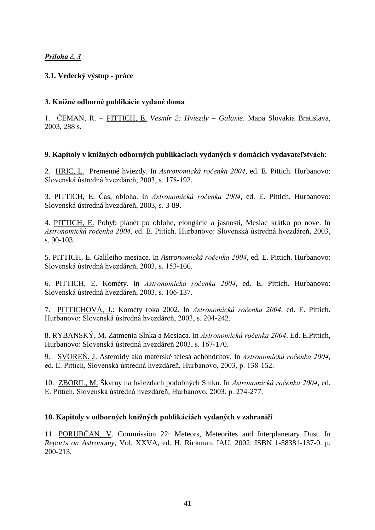# Príloha č. 3

# **3.1. Vedecký výstup - práce**

# 3. Knižné odborné publikácie vydané doma

1. ČEMAN, R. – PITTICH, E. Vesmír 2: Hviezdy – Galaxie. Mapa Slovakia Bratislava, 2003, 288 s.

## 9. Kapitoly v knižných odborných publikáciach vydaných v domácich vydavateľstvách:

2. HRIC, L. Premenné hviezdy. In Astronomická ročenka 2004, ed. E. Pittich. Hurbanovo: Slovenská ústredná hvezdáreň, 2003, s. 178-192.

3. PITTICH, E. Čas, obloha. In *Astronomická ročenka 2004*, ed. E. Pittich. Hurbanovo: Slovenská ústredná hvezdáreň, 2003, s. 3-89.

4. PITTICH, E. Pohyb planét po oblohe, elongácie a jasnosti, Mesiac krátko po nove. In Astronomická ročenka 2004, ed. E. Pittich. Hurbanovo: Slovenská ústredná hvezdáreň, 2003, s. 90-103.

5. PITTICH, E. Galileiho mesiace. In Astronomická ročenka 2004, ed. E. Pittich. Hurbanovo: Slovenská ústredná hvezdáreň, 2003, s. 153-166.

6. PITTICH, E. Kométy. In Astronomická ročenka 2004, ed. E. Pittich. Hurbanovo: Slovenská ústredná hvezdáreň, 2003, s. 106-137.

7. PITTICHOVÁ, J.: Kométy roka 2002. In Astronomická ročenka 2004, ed. E. Pittich. Hurbanovo: Slovenská ústredná hvezdáreň, 2003, s. 204-242.

8. RYBANSKÝ, M. Zatmenia Slnka a Mesiaca. In Astronomická ročenka 2004. Ed. E.Pittich, Hurbanovo: Slovenská ústredná hvezdáreň 2003, s. 167-170.

9. SVOREŇ, J. Asteroidy ako materské telesá achondritov. In Astronomická ročenka 2004, ed. E. Pittich, Slovenská ústredná hvezdáreň, Hurbanovo, 2003, p. 138-152.

10. ZBORIL, M. Škvrny na hviezdach podobných Slnku. In Astronomická ročenka 2004, ed. E. Pittich, Slovenská ústredná hvezdáreň, Hurbanovo, 2003, p. 274-277.

## 10. Kapitoly v odborných knižných publikáciách vydaných v zahraničí

11. PORUBČAN, V. Commission 22: Meteors, Meteorites and Interplanetary Dust. In *Reports on Astronomy*, Vol. XXVA, ed. H. Rickman, IAU, 2002. ISBN 1-58381-137-0. p. 200-213.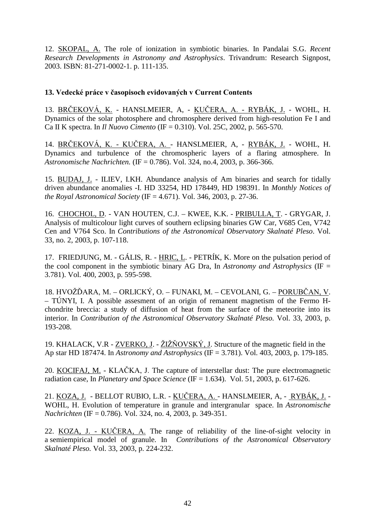12. SKOPAL, A. The role of ionization in symbiotic binaries. In Pandalai S.G. *Recent Research Developments in Astronomy and Astrophysics*. Trivandrum: Research Signpost, 2003. ISBN: 81-271-0002-1. p. 111-135.

## 13. Vedecké práce v časopisoch evidovaných v Current Contents

13. <u>BRČEKOVÁ, K.</u> - HANSLMEIER, A, - <u>KUČERA, A. - RYBÁK, J.</u> - WOHL, H. Dynamics of the solar photosphere and chromosphere derived from high-resolution Fe I and Ca II K spectra. In *Il Nuovo Cimento* (IF = 0.310). Vol. 25C, 2002, p. 565-570.

14. <u>BRČEKOVÁ, K. - KUČERA, A. -</u> HANSLMEIER, A, - <u>RYBÁK, J.</u> - WOHL, H. Dynamics and turbulence of the chromospheric layers of a flaring atmosphere. In *Astronomische Nachrichten.* (IF = 0.786). Vol. 324, no.4, 2003, p. 366-366.

15. BUDAJ, J. - ILIEV, I.KH. Abundance analysis of Am binaries and search for tidally driven abundance anomalies -I. HD 33254, HD 178449, HD 198391. In *Monthly Notices of the Royal Astronomical Society* (IF = 4.671). Vol. 346, 2003, p. 27-36.

16. CHOCHOL, D. - VAN HOUTEN, C.J. – KWEE, K.K. - PRIBULLA, T. - GRYGAR, J. Analysis of multicolour light curves of southern eclipsing binaries GW Car, V685 Cen, V742 Cen and V764 Sco. In *Contributions of the Astronomical Observatory Skalnaté Pleso*. Vol. 33, no. 2, 2003, p. 107-118.

17. FRIEDJUNG, M. - GÁLIS, R. - HRIC, L. - PETRÍK, K. More on the pulsation period of the cool component in the symbiotic binary AG Dra, In *Astronomy and Astrophysics* (IF = 3.781). Vol. 400, 2003, p. 595-598.

18. HVOŽĎARA, M. – ORLICKÝ, O. – FUNAKI, M. – CEVOLANI, G. – <u>PORUBČAN, V</u>. – TÚNYI, I. A possible assesment of an origin of remanent magnetism of the Fermo Hchondrite breccia: a study of diffusion of heat from the surface of the meteorite into its interior. In *Contribution of the Astronomical Observatory Skalnaté Pleso.* Vol. 33, 2003, p. 193-208.

19. KHALACK, V.R - ZVERKO, J. - ŽIŽŇOVSKÝ, J. Structure of the magnetic field in the Ap star HD 187474. In *Astronomy and Astrophysics* (IF = 3.781). Vol. 403, 2003, p. 179-185.

20. KOCIFAJ, M. - KLAČKA, J. The capture of interstellar dust: The pure electromagnetic radiation case, In *Planetary and Space Science* (IF = 1.634). Vol. 51, 2003, p. 617-626.

21. <u>KOZA, J.</u> - BELLOT RUBIO, L.R. - <u>KUČERA, A.</u> - HANSLMEIER, A, - <u>RYBÁK, J.</u> -WOHL, H. Evolution of temperature in granule and intergranular space. In *Astronomische Nachrichten* (IF = 0.786). Vol. 324, no. 4, 2003, p. 349-351.

22. KOZA, J. - KUCERA, A. The range of reliability of the line-of-sight velocity in a semiempirical model of granule. In *Contributions of the Astronomical Observatory Skalnaté Pleso.* Vol. 33, 2003, p. 224-232.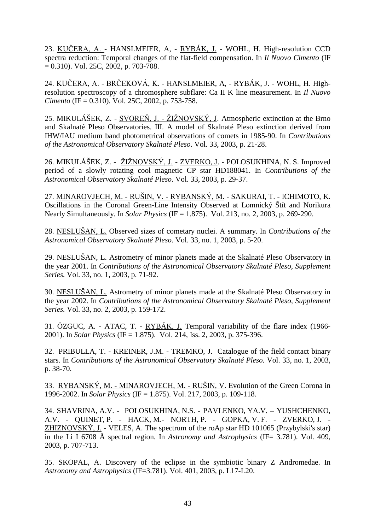23. <u>KUČERA, A.</u> - HANSLMEIER, A, - <u>RYBÁK, J.</u> - WOHL, H. High-resolution CCD spectra reduction: Temporal changes of the flat-field compensation. In *Il Nuovo Cimento* (IF  $= 0.310$ ). Vol. 25C, 2002, p. 703-708.

24. <u>KUČERA, A. - BRČEKOVÁ, K.</u> - HANSLMEIER, A, - <u>RYBÁK, J.</u> - WOHL, H. Highresolution spectroscopy of a chromosphere subflare: Ca II K line measurement. In *Il Nuovo Cimento* (IF = 0.310). Vol. 25C, 2002, p. 753-758.

25. MIKULÁŠEK, Z. - SVOREŇ, J. - ŽIŽNOVSKÝ, J. Atmospheric extinction at the Brno and Skalnaté Pleso Observatories. III. A model of Skalnaté Pleso extinction derived from IHW/IAU medium band photometrical observations of comets in 1985-90. In *Contributions of the Astronomical Observatory Skalnaté Pleso*. Vol. 33, 2003, p. 21-28.

26. MIKULÁŠEK, Z. - <u>ŽIŽNOVSKÝ, J.</u> - <u>ZVERKO, J</u>. - POLOSUKHINA, N. S. Improved period of a slowly rotating cool magnetic CP star HD188041. In *Contributions of the Astronomical Observatory Skalnaté Pleso*. Vol. 33, 2003, p. 29-37.

27. MINAROVJECH, M. - RUŠIN, V. - RYBANSKÝ, M. - SAKURAI, T. - ICHIMOTO, K. Oscillations in the Coronal Green-Line Intensity Observed at Lomnický Štít and Norikura Nearly Simultaneously. In *Solar Physics* (IF = 1.875). Vol. 213, no. 2, 2003, p. 269-290.

28. NESLUŠAN, L. Observed sizes of cometary nuclei. A summary. In *Contributions of the Astronomical Observatory Skalnaté Pleso*. Vol. 33, no. 1, 2003, p. 5-20.

29. NESLUŠAN, L. Astrometry of minor planets made at the Skalnaté Pleso Observatory in the year 2001. In *Contributions of the Astronomical Observatory Skalnaté Pleso, Supplement Series.* Vol. 33, no. 1, 2003, p. 71-92.

30. NESLUŠAN, L. Astrometry of minor planets made at the Skalnaté Pleso Observatory in the year 2002. In *Contributions of the Astronomical Observatory Skalnaté Pleso, Supplement Series.* Vol. 33, no. 2, 2003, p. 159-172.

31. ÖZGUC, A. - ATAC, T. - RYBÁK, J. Temporal variability of the flare index (1966- 2001). In *Solar Physics* (IF = 1.875). Vol. 214, Iss. 2, 2003, p. 375-396.

32. PRIBULLA, T. - KREINER, J.M. - TREMKO, J. Catalogue of the field contact binary stars. In *Contributions of the Astronomical Observatory Skalnaté Pleso.* Vol. 33, no. 1, 2003, p. 38-70.

33. RYBANSKÝ, M. - MINAROVJECH, M. - RUŠIN, V. Evolution of the Green Corona in 1996-2002. In *Solar Physics* (IF = 1.875). Vol. 217, 2003, p. 109-118.

34. SHAVRINA, A.V. - POLOSUKHINA, N.S. - PAVLENKO, YA.V. – YUSHCHENKO, A.V. - QUINET, P. - HACK, M.- NORTH, P. - GOPKA, V. F. - ZVERKO, J. - ZHIZNOVSKÝ, J. - VELES, A. The spectrum of the roAp star HD 101065 (Przybylski's star) in the Li I 6708 Å spectral region. In *Astronomy and Astrophysics* (IF= 3.781). Vol. 409, 2003, p. 707-713.

35. SKOPAL, A. Discovery of the eclipse in the symbiotic binary Z Andromedae. In *Astronomy and Astrophysics* (IF=3.781). Vol. 401, 2003, p. L17-L20.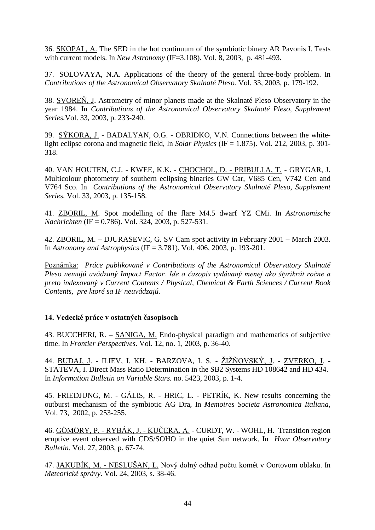36. SKOPAL, A. The SED in the hot continuum of the symbiotic binary AR Pavonis I. Tests with current models. In *New Astronomy* (IF=3.108). Vol. 8, 2003, p. 481-493.

37. SOLOVAYA, N.A. Applications of the theory of the general three-body problem. In *Contributions of the Astronomical Observatory Skalnaté Pleso.* Vol. 33, 2003, p. 179-192.

38. SVOREŇ, J. Astrometry of minor planets made at the Skalnaté Pleso Observatory in the year 1984. In *Contributions of the Astronomical Observatory Skalnaté Pleso, Supplement Series.*Vol. 33, 2003, p. 233-240.

39. SÝKORA, J. - BADALYAN, O.G. - OBRIDKO, V.N. Connections between the whitelight eclipse corona and magnetic field, In *Solar Physics* (IF = 1.875). Vol. 212, 2003, p. 301- 318.

40. VAN HOUTEN, C.J. - KWEE, K.K. - CHOCHOL, D. - PRIBULLA, T. - GRYGAR, J. Multicolour photometry of southern eclipsing binaries GW Car, V685 Cen, V742 Cen and V764 Sco. In *Contributions of the Astronomical Observatory Skalnaté Pleso, Supplement Series.* Vol. 33, 2003, p. 135-158.

41. ZBORIL, M. Spot modelling of the flare M4.5 dwarf YZ CMi. In *Astronomische Nachrichten* (IF = 0.786). Vol. 324, 2003, p. 527-531.

42. ZBORIL, M. – DJURASEVIC, G. SV Cam spot activity in February 2001 – March 2003. In *Astronomy and Astrophysics* (IF = 3.781). Vol. 406, 2003, p. 193-201.

Poznámka: *Práce publikované v Contributions of the Astronomical Observatory Skalnaté*  Pleso nemajú uvádzaný Impact Factor. Ide o časopis vydávaný menej ako štyrikrát ročne a *preto indexovaný v Current Contents / Physical, Chemical & Earth Sciences / Current Book Contents, pre ktoré sa IF neuvádzajú.* 

## 14. Vedecké práce v ostatných časopisoch

43. BUCCHERI, R. – SANIGA, M. Endo-physical paradigm and mathematics of subjective time. In *Frontier Perspectives*. Vol. 12, no. 1, 2003, p. 36-40.

44. <u>BUDAJ, J</u>. - ILIEV, I. KH. - BARZOVA, I. S. - <u>ŽIŽŇOVSKÝ, J</u>. - <u>ZVERKO, J</u>. -STATEVA, I. Direct Mass Ratio Determination in the SB2 Systems HD 108642 and HD 434. In *Information Bulletin on Variable Stars.* no. 5423, 2003, p. 1-4.

45. FRIEDJUNG, M. - GÁLIS, R. - HRIC, L. - PETRÍK, K. New results concerning the outburst mechanism of the symbiotic AG Dra, In *Memoires Societa Astronomica Italiana*, Vol. 73, 2002, p. 253-255.

46. GÖMÖRY, P. - RYBÁK, J. - KUČERA, A. - CURDT, W. - WOHL, H. Transition region eruptive event observed with CDS/SOHO in the quiet Sun network. In *Hvar Observatory Bulletin.* Vol. 27, 2003, p. 67-74.

47. JAKUBÍK, M. - NESLUŠAN, L. Nový dolný odhad počtu komét v Oortovom oblaku. In *Meteorické správy*. Vol. 24, 2003, s. 38-46.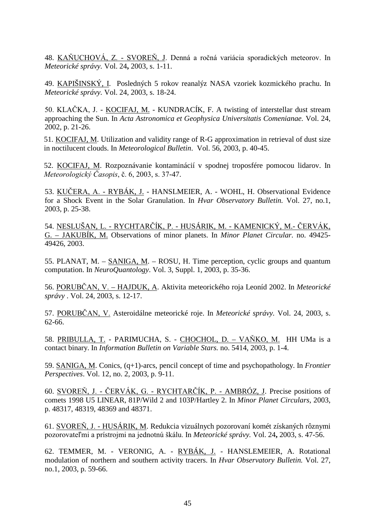48. KAŇUCHOVÁ, Z. - SVOREŇ, J. Denná a ročná variácia sporadických meteorov. In *Meteorické správy.* Vol. 24**,** 2003, s. 1-11.

49. KAPIŠINSKÝ, I. Posledných 5 rokov reanalýz NASA vzoriek kozmického prachu. In *Meteorické správy.* Vol. 24, 2003, s. 18-24.

50. KLAČKA, J. - KOCIFAJ, M. - KUNDRACÍK, F. A twisting of interstellar dust stream approaching the Sun. In *Acta Astronomica et Geophysica Universitatis Comenianae.* Vol. 24, 2002, p. 21-26.

51. KOCIFAJ, M. Utilization and validity range of R-G approximation in retrieval of dust size in noctilucent clouds. In *Meteorological Bulletin*. Vol. 56, 2003, p. 40-45.

52. KOCIFAJ, M. Rozpoznávanie kontaminácií v spodnej troposfére pomocou lidarov. In Meteorologický Časopis, č. 6, 2003, s. 37-47.

53. KUČERA, A. - RYBÁK, J. - HANSLMEIER, A. - WOHL, H. Observational Evidence for a Shock Event in the Solar Granulation. In *Hvar Observatory Bulletin.* Vol. 27, no.1, 2003, p. 25-38.

<u> 54. NESLUŠAN, L. - RYCHTARČÍK, P. - HUSÁRIK, M. - KAMENICKÝ, M.- ČERVÁK,</u> G. – JAKUBÍK, M. Observations of minor planets. In *Minor Planet Circular.* no. 49425- 49426, 2003.

55. PLANAT, M. – SANIGA, M. – ROSU, H. Time perception, cyclic groups and quantum computation. In *NeuroQuantology*. Vol. 3, Suppl. 1, 2003, p. 35-36.

56. <u>PORUBČAN, V. – HAJDUK, A</u>. Aktivita meteorického roja Leoníd 2002. In *Meteorické správy* . Vol. 24, 2003, s. 12-17.

57. PORUBČAN, V. Asteroidálne meteorické roje. In *Meteorické správy*. Vol. 24, 2003, s. 62-66.

58. PRIBULLA, T. - PARIMUCHA, S. - CHOCHOL, D. - VAŇKO, M. HH UMa is a contact binary. In *Information Bulletin on Variable Stars.* no. 5414, 2003, p. 1-4.

59. SANIGA, M. Conics, (q+1)-arcs, pencil concept of time and psychopathology. In *Frontier Perspectives*. Vol. 12, no. 2, 2003, p. 9-11.

60. SVOREŇ, J. - ČERVÁK, G. - RYCHTARČÍK, P. - AMBRÓZ, J. Precise positions of comets 1998 U5 LINEAR, 81P/Wild 2 and 103P/Hartley 2. In *Minor Planet Circulars*, 2003, p. 48317, 48319, 48369 and 48371.

61. SVOREŇ, J. - HUSÁRIK, M. Redukcia vizuálnych pozorovaní komét získaných rôznymi pozorovateľmi a prístrojmi na jednotnú škálu. In Meteorické správy. Vol. 24, 2003, s. 47-56.

62. TEMMER, M. - VERONIG, A. - RYBÁK, J. - HANSLEMEIER, A. Rotational modulation of northern and southern activity tracers. In *Hvar Observatory Bulletin.* Vol. 27, no.1, 2003, p. 59-66.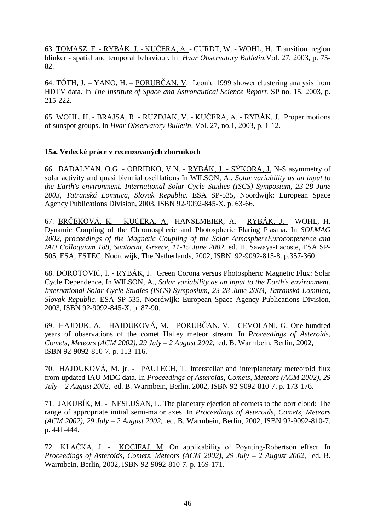63. TOMASZ, F. - RYBÁK, J. - KUČERA, A. - CURDT, W. - WOHL, H. Transition region blinker - spatial and temporal behaviour. In *Hvar Observatory Bulletin.*Vol. 27, 2003, p. 75- 82.

64. TÓTH, J. – YANO, H. – PORUBČAN, V. Leonid 1999 shower clustering analysis from HDTV data. In *The Institute of Space and Astronautical Science Report.* SP no. 15, 2003, p. 215-222.

65. WOHL, H. - BRAJSA, R. - RUZDJAK, V. - <u>KUČERA, A. - RYBÁK, J.</u> Proper motions of sunspot groups. In *Hvar Observatory Bulletin*. Vol. 27, no.1, 2003, p. 1-12.

### **15a. Vedecké práce v recenzovaných zborníkoch**

66. BADALYAN, O.G. - OBRIDKO, V.N. - RYBÁK, J. - SÝKORA, J. N-S asymmetry of solar activity and quasi biennial oscillations In WILSON, A., *Solar variability as an input to the Earth's environment. International Solar Cycle Studies (ISCS) Symposium, 23-28 June 2003, Tatranská Lomnica, Slovak Republic*. ESA SP-535, Noordwijk: European Space Agency Publications Division, 2003, ISBN 92-9092-845-X. p. 63-66.

67. <u>BRČEKOVÁ, K. - KUČERA, A.</u>- HANSLMEIER, A. - <u>RYBÁK, J. -</u> WOHL, H. Dynamic Coupling of the Chromospheric and Photospheric Flaring Plasma. In *SOLMAG 2002, proceedings of the Magnetic Coupling of the Solar AtmosphereEuroconference and IAU Colloquium 188, Santorini, Greece, 11-15 June 2002.* ed. H. Sawaya-Lacoste, ESA SP-505, ESA, ESTEC, Noordwijk, The Netherlands, 2002, ISBN 92-9092-815-8. p.357-360.

68. DOROTOVIČ, I. - <u>RYBÁK, J.</u> Green Corona versus Photospheric Magnetic Flux: Solar Cycle Dependence, In WILSON, A., *Solar variability as an input to the Earth's environment. International Solar Cycle Studies (ISCS) Symposium, 23-28 June 2003, Tatranská Lomnica, Slovak Republic*. ESA SP-535, Noordwijk: European Space Agency Publications Division, 2003, ISBN 92-9092-845-X. p. 87-90.

69. <u>HAJDUK, A</u>. - HAJDUKOVÁ, M. - <u>PORUBČAN, V</u>. - CEVOLANI, G. One hundred years of observations of the comet Halley meteor stream. In *Proceedings of Asteroids, Comets, Meteors (ACM 2002), 29 July – 2 August 2002*, ed. B. Warmbein, Berlin, 2002, ISBN 92-9092-810-7. p. 113-116.

70. HAJDUKOVÁ, M. jr. - PAULECH, T. Interstellar and interplanetary meteoroid flux from updated IAU MDC data. In *Proceedings of Asteroids, Comets, Meteors (ACM 2002), 29 July – 2 August 2002,* ed. B. Warmbein, Berlin, 2002, ISBN 92-9092-810-7. p. 173-176.

71. JAKUBÍK, M. - NESLUŠAN, L. The planetary ejection of comets to the oort cloud: The range of appropriate initial semi-major axes. In *Proceedings of Asteroids, Comets, Meteors (ACM 2002), 29 July – 2 August 2002*, ed. B. Warmbein, Berlin, 2002, ISBN 92-9092-810-7. p. 441-444.

72. KLAČKA, J. - KOCIFAJ, M. On applicability of Poynting-Robertson effect. In *Proceedings of Asteroids, Comets, Meteors (ACM 2002), 29 July – 2 August 2002,* ed. B. Warmbein, Berlin, 2002, ISBN 92-9092-810-7. p. 169-171.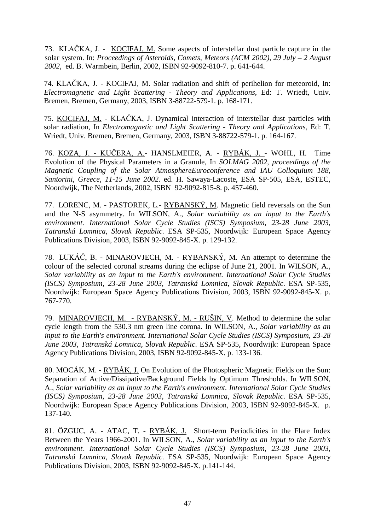73. KLAČKA, J. - KOCIFAJ, M. Some aspects of interstellar dust particle capture in the solar system. In: *Proceedings of Asteroids, Comets, Meteors (ACM 2002), 29 July – 2 August 2002*, ed. B. Warmbein, Berlin, 2002, ISBN 92-9092-810-7. p. 641-644.

74. KLAČKA, J. - KOCIFAJ, M. Solar radiation and shift of perihelion for meteoroid, In: *Electromagnetic and Light Scattering - Theory and Applications*, Ed: T. Wriedt, Univ. Bremen, Bremen, Germany, 2003, ISBN 3-88722-579-1. p. 168-171.

75. KOCIFAJ, M. - KLAČKA, J. Dynamical interaction of interstellar dust particles with solar radiation, In *Electromagnetic and Light Scattering - Theory and Applications*, Ed: T. Wriedt, Univ. Bremen, Bremen, Germany, 2003, ISBN 3-88722-579-1. p. 164-167.

76. <u>KOZA, J. - KUČERA, A.</u>- HANSLMEIER, A. - <u>RYBÁK, J. -</u> WOHL, H. Time Evolution of the Physical Parameters in a Granule, In *SOLMAG 2002, proceedings of the Magnetic Coupling of the Solar AtmosphereEuroconference and IAU Colloquium 188, Santorini, Greece, 11-15 June 2002.* ed. H. Sawaya-Lacoste, ESA SP-505, ESA, ESTEC, Noordwijk, The Netherlands, 2002, ISBN 92-9092-815-8. p. 457-460.

77. LORENC, M. - PASTOREK, L.- RYBANSKÝ, M. Magnetic field reversals on the Sun and the N-S asymmetry. In WILSON, A., *Solar variability as an input to the Earth's environment. International Solar Cycle Studies (ISCS) Symposium, 23-28 June 2003, Tatranská Lomnica, Slovak Republic*. ESA SP-535, Noordwijk: European Space Agency Publications Division, 2003, ISBN 92-9092-845-X. p. 129-132.

78. LUKÁČ, B. - MINAROVJECH, M. - RYBANSKÝ, M. An attempt to determine the colour of the selected coronal streams during the eclipse of June 21, 2001. In WILSON, A., *Solar variability as an input to the Earth's environment. International Solar Cycle Studies (ISCS) Symposium, 23-28 June 2003, Tatranská Lomnica, Slovak Republic*. ESA SP-535, Noordwijk: European Space Agency Publications Division, 2003, ISBN 92-9092-845-X. p. 767-770.

79. MINAROVJECH, M. - RYBANSKÝ, M. - RUŠIN, V. Method to determine the solar cycle length from the 530.3 nm green line corona. In WILSON, A., *Solar variability as an input to the Earth's environment. International Solar Cycle Studies (ISCS) Symposium, 23-28 June 2003, Tatranská Lomnica, Slovak Republic*. ESA SP-535, Noordwijk: European Space Agency Publications Division, 2003, ISBN 92-9092-845-X. p. 133-136.

80. MOCÁK, M. - RYBÁK, J. On Evolution of the Photospheric Magnetic Fields on the Sun: Separation of Active/Dissipative/Background Fields by Optimum Thresholds. In WILSON, A., *Solar variability as an input to the Earth's environment. International Solar Cycle Studies (ISCS) Symposium, 23-28 June 2003, Tatranská Lomnica, Slovak Republic*. ESA SP-535, Noordwijk: European Space Agency Publications Division, 2003, ISBN 92-9092-845-X. p. 137-140.

81. ÖZGUC, A. - ATAC, T. - RYBÁK, J. Short-term Periodicities in the Flare Index Between the Years 1966-2001. In WILSON, A., *Solar variability as an input to the Earth's environment. International Solar Cycle Studies (ISCS) Symposium, 23-28 June 2003, Tatranská Lomnica, Slovak Republic*. ESA SP-535, Noordwijk: European Space Agency Publications Division, 2003, ISBN 92-9092-845-X. p.141-144.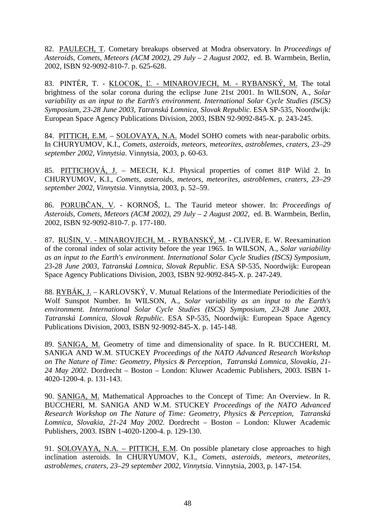82. PAULECH, T. Cometary breakups observed at Modra observatory. In *Proceedings of Asteroids, Comets, Meteors (ACM 2002), 29 July – 2 August 2002,* ed. B. Warmbein, Berlin, 2002, ISBN 92-9092-810-7. p. 625-628.

83. PINTÉR, T. - <u>KLOCOK, L. - MINAROVJECH, M. - RYBANSKÝ, M.</u> The total brightness of the solar corona during the eclipse June 21st 2001. In WILSON, A., *Solar variability as an input to the Earth's environment. International Solar Cycle Studies (ISCS) Symposium, 23-28 June 2003, Tatranská Lomnica, Slovak Republic*. ESA SP-535, Noordwijk: European Space Agency Publications Division, 2003, ISBN 92-9092-845-X. p. 243-245.

84. PITTICH, E.M. – SOLOVAYA, N.A. Model SOHO comets with near-parabolic orbits. In CHURYUMOV, K.I., *Comets, asteroids, meteors, meteorites, astroblemes, craters, 23–29 september 2002*, *Vinnytsia*. Vinnytsia, 2003, p. 60-63.

85. PITTICHOVÁ, J. – MEECH, K.J. Physical properties of comet 81P Wild 2. In CHURYUMOV, K.I., *Comets, asteroids, meteors, meteorites, astroblemes, craters, 23–29 september 2002*, *Vinnytsia*. Vinnytsia, 2003, p. 52–59.

86. PORUBCAN, V. - KORNOS, L. The Taurid meteor shower. In: *Proceedings of Asteroids, Comets, Meteors (ACM 2002), 29 July – 2 August 2002,* ed. B. Warmbein, Berlin, 2002, ISBN 92-9092-810-7. p. 177-180.

87. RUŠIN, V. - MINAROVJECH, M. - RYBANSKÝ, M. - CLIVER, E. W. Reexamination of the coronal index of solar activity before the year 1965. In WILSON, A., *Solar variability as an input to the Earth's environment. International Solar Cycle Studies (ISCS) Symposium, 23-28 June 2003, Tatranská Lomnica, Slovak Republic*. ESA SP-535, Noordwijk: European Space Agency Publications Division, 2003, ISBN 92-9092-845-X. p. 247-249.

88. RYBÁK, J. – KARLOVSKÝ, V. Mutual Relations of the Intermediate Periodicities of the Wolf Sunspot Number. In WILSON, A., *Solar variability as an input to the Earth's environment. International Solar Cycle Studies (ISCS) Symposium, 23-28 June 2003, Tatranská Lomnica, Slovak Republic*. ESA SP-535, Noordwijk: European Space Agency Publications Division, 2003, ISBN 92-9092-845-X. p. 145-148.

89. SANIGA, M. Geometry of time and dimensionality of space. In R. BUCCHERI, M. SANIGA AND W.M. STUCKEY *Proceedings of the NATO Advanced Research Workshop on The Nature of Time: Geometry, Physics & Perception, Tatranská Lomnica, Slovakia, 21- 24 May 2002.* Dordrecht – Boston – London: Kluwer Academic Publishers, 2003. ISBN 1- 4020-1200-4. p. 131-143.

90. SANIGA, M. Mathematical Approaches to the Concept of Time: An Overview. In R. BUCCHERI, M. SANIGA AND W.M. STUCKEY *Proceedings of the NATO Advanced Research Workshop on The Nature of Time: Geometry, Physics & Perception, Tatranská Lomnica, Slovakia, 21-24 May 2002.* Dordrecht – Boston – London: Kluwer Academic Publishers, 2003. ISBN 1-4020-1200-4. p. 129-130.

91. SOLOVAYA, N.A. – PITTICH, E.M. On possible planetary close approaches to high inclination asteroids. In CHURYUMOV, K.I., *Comets, asteroids, meteors, meteorites, astroblemes, craters, 23–29 september 2002*, *Vinnytsia*. Vinnytsia, 2003, p. 147-154.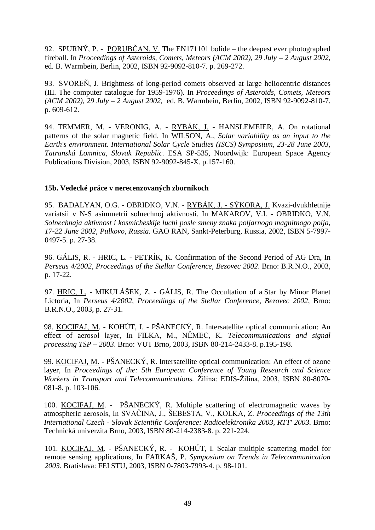92. SPURNÝ, P. - PORUBČAN, V. The EN171101 bolide – the deepest ever photographed fireball. In *Proceedings of Asteroids, Comets, Meteors (ACM 2002), 29 July – 2 August 2002*, ed. B. Warmbein, Berlin, 2002, ISBN 92-9092-810-7. p. 269-272.

93. SVOREŇ, J. Brightness of long-period comets observed at large heliocentric distances (III. The computer catalogue for 1959-1976). In *Proceedings of Asteroids, Comets, Meteors (ACM 2002), 29 July – 2 August 2002,* ed. B. Warmbein, Berlin, 2002, ISBN 92-9092-810-7. p. 609-612.

94. TEMMER, M. - VERONIG, A. - RYBÁK, J. - HANSLEMEIER, A. On rotational patterns of the solar magnetic field. In WILSON, A., *Solar variability as an input to the Earth's environment. International Solar Cycle Studies (ISCS) Symposium, 23-28 June 2003, Tatranská Lomnica, Slovak Republic*. ESA SP-535, Noordwijk: European Space Agency Publications Division, 2003, ISBN 92-9092-845-X. p.157-160.

### **15b. Vedecké práce v nerecenzovaných zborníkoch**

95. BADALYAN, O.G. - OBRIDKO, V.N. - RYBÁK, J. - SÝKORA, J. Kvazi-dvukhletnije variatsii v N-S asimmetrii solnechnoj aktivnosti. In MAKAROV, V.I. - OBRIDKO, V.N. *Solnechnaja aktivnost i kosmicheskije luchi posle smeny znaka poljarnogo magnitnogo polja*, *17-22 June 2002, Pulkovo, Russia.* GAO RAN, Sankt-Peterburg, Russia, 2002, ISBN 5-7997- 0497-5. p. 27-38.

96. GÁLIS, R. - HRIC, L. - PETRÍK, K. Confirmation of the Second Period of AG Dra, In *Perseus 4/2002, Proceedings of the Stellar Conference, Bezovec 2002*. Brno: B.R.N.O., 2003, p. 17-22.

97. HRIC, L. - MIKULÁŠEK, Z. - GÁLIS, R. The Occultation of a Star by Minor Planet Lictoria, In *Perseus 4/2002, Proceedings of the Stellar Conference, Bezovec 2002*, Brno: B.R.N.O., 2003, p. 27-31.

98. KOCIFAJ, M. - KOHÚT, I. - PŠANECKÝ, R. Intersatellite optical communication: An effect of aerosol layer, In FILKA, M., NĚMEC, K. Telecommunications and signal *processing TSP – 2003*. Brno: VUT Brno, 2003, ISBN 80-214-2433-8. p.195-198.

99. KOCIFAJ, M. - PŠANECKÝ, R. Intersatellite optical communication: An effect of ozone layer, In *Proceedings of the: 5th European Conference of Young Research and Science Workers in Transport and Telecommunications.* Žilina: EDIS-Žilina, 2003, ISBN 80-8070-081-8. p. 103-106.

100. KOCIFAJ, M. - PŠANECKÝ, R. Multiple scattering of electromagnetic waves by atmospheric aerosols, In SVAČINA, J., ŠEBESTA, V., KOLKA, Z. *Proceedings of the 13th International Czech - Slovak Scientific Conference: Radioelektronika 2003, RTT' 2003.* Brno: Technická univerzita Brno, 2003, ISBN 80-214-2383-8. p. 221-224.

101. KOCIFAJ, M. - PŠANECKÝ, R. - KOHÚT, I. Scalar multiple scattering model for remote sensing applications, In FARKAŠ, P. *Symposium on Trends in Telecommunication 2003.* Bratislava: FEI STU, 2003, ISBN 0-7803-7993-4. p. 98-101.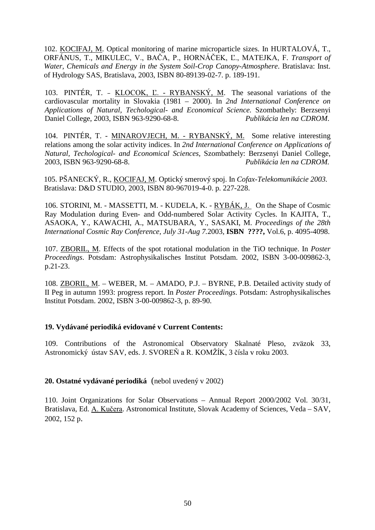102. KOCIFAJ, M. Optical monitoring of marine microparticle sizes. In HURTALOVÁ, T., ORFÁNUS, T., MIKULEC, V., BAČA, P., HORNÁČEK, L., MATEJKA, F. *Transport of Water, Chemicals and Energy in the System Soil-Crop Canopy-Atmosphere*. Bratislava: Inst. of Hydrology SAS, Bratislava, 2003, ISBN 80-89139-02-7. p. 189-191.

103. PINTÉR, T. - KLOCOK, L. - RYBANSKÝ, M. The seasonal variations of the cardiovascular mortality in Slovakia (1981 – 2000). In *2nd International Conference on Applications of Natural, Techological- and Economical Science.* Szombathely: Berzsenyi Daniel College, 2003, ISBN 963-9290-68-8. *Publikácia len na CDROM*.

104. PINTÉR, T. - MINAROVJECH, M. - RYBANSKÝ, M. Some relative interesting relations among the solar activity indices. In *2nd International Conference on Applications of Natural, Techological- and Economical Sciences,* Szombathely: Berzsenyi Daniel College, 2003, ISBN 963-9290-68-8. *Publikácia len na CDROM.* 

105. PŠANECKÝ, R., KOCIFAJ, M. Optický smerový spoj. In *Cofax-Telekomunikácie 2003.*  Bratislava: D&D STUDIO, 2003, ISBN 80-967019-4-0. p. 227-228.

106. STORINI, M. - MASSETTI, M. - KUDELA, K. - RYBÁK, J. On the Shape of Cosmic Ray Modulation during Even- and Odd-numbered Solar Activity Cycles. In KAJITA, T., ASAOKA, Y., KAWACHI, A., MATSUBARA, Y., SASAKI, M. *Proceedings of the 28th International Cosmic Ray Conference, July 31-Aug 7.*2003*,* **ISBN ????,** Vol.6, p. 4095-4098.

107. ZBORIL, M. Effects of the spot rotational modulation in the TiO technique. In *Poster Proceedings*. Potsdam: Astrophysikalisches Institut Potsdam. 2002, ISBN 3-00-009862-3, p.21-23.

108. ZBORIL, M. – WEBER, M. – AMADO, P.J. – BYRNE, P.B. Detailed activity study of II Peg in autumn 1993: progress report. In *Poster Proceedings*. Potsdam: Astrophysikalisches Institut Potsdam. 2002, ISBN 3-00-009862-3, p. 89-90.

## **19. Vydávané periodiká evidované v Current Contents:**

109. Contributions of the Astronomical Observatory Skalnaté Pleso, zväzok 33, Astronomický ústav SAV, eds. J. SVOREŇ a R. KOMŽÍK, 3 čísla v roku 2003.

## **20. Ostatné vydávané periodiká** (nebol uvedený v 2002)

110. Joint Organizations for Solar Observations – Annual Report 2000/2002 Vol. 30/31, Bratislava, Ed. A. Kučera. Astronomical Institute, Slovak Academy of Sciences, Veda - SAV, 2002, 152 p.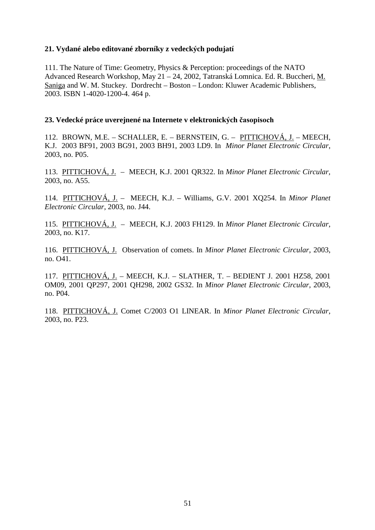### **21. Vydané alebo editované zborníky z vedeckých podujatí**

111. The Nature of Time: Geometry, Physics & Perception: proceedings of the NATO Advanced Research Workshop, May 21 – 24, 2002, Tatranská Lomnica. Ed. R. Buccheri, M. Saniga and W. M. Stuckey. Dordrecht – Boston – London: Kluwer Academic Publishers, 2003. ISBN 1-4020-1200-4. 464 p.

### **23. Vedecké práce uverejnené na Internete v elektronických**

112. BROWN, M.E. – SCHALLER, E. – BERNSTEIN, G. – PITTICHOVÁ, J. – MEECH, K.J. 2003 BF91, 2003 BG91, 2003 BH91, 2003 LD9. In *Minor Planet Electronic Circular*, 2003, no. P05.

113. PITTICHOVÁ, J. – MEECH, K.J. 2001 QR322. In *Minor Planet Electronic Circular,* 2003, no. A55.

114. PITTICHOVÁ, J. – MEECH, K.J. – Williams, G.V. 2001 XQ254. In *Minor Planet Electronic Circular*, 2003, no. J44.

115. PITTICHOVÁ, J. – MEECH, K.J. 2003 FH129. In *Minor Planet Electronic Circular*, 2003, no. K17.

116. PITTICHOVÁ, J. Observation of comets. In *Minor Planet Electronic Circular*, 2003, no. O41.

117. PITTICHOVÁ, J. – MEECH, K.J. – SLATHER, T. – BEDIENT J. 2001 HZ58, 2001 OM09, 2001 QP297, 2001 QH298, 2002 GS32. In *Minor Planet Electronic Circular*, 2003, no. P04.

118. PITTICHOVÁ, J. Comet C/2003 O1 LINEAR. In *Minor Planet Electronic Circular*, 2003, no. P23.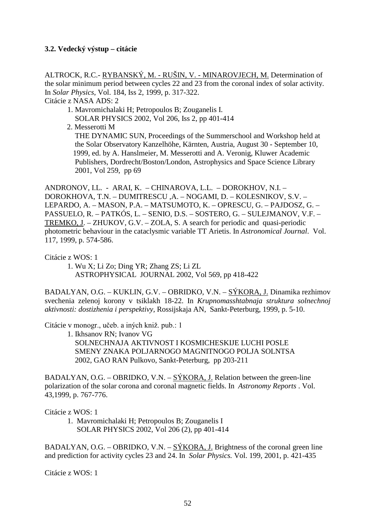## **3.2. Vedecký výstup – citácie**

ALTROCK, R.C.- RYBANSKÝ, M. - RUŠIN, V. - MINAROVJECH, M. Determination of the solar minimum period between cycles 22 and 23 from the coronal index of solar activity. In *Solar Physics*, Vol. 184, Iss 2, 1999, p. 317-322. Citácie z NASA ADS: 2

- 1. Mavromichalaki H; Petropoulos B; Zouganelis I. SOLAR PHYSICS 2002, Vol 206, Iss 2, pp 401-414
- 2. Messerotti M

 THE DYNAMIC SUN, Proceedings of the Summerschool and Workshop held at the Solar Observatory Kanzelhöhe, Kärnten, Austria, August 30 - September 10, 1999, ed. by A. Hanslmeier, M. Messerotti and A. Veronig, Kluwer Academic Publishers, Dordrecht/Boston/London, Astrophysics and Space Science Library 2001, Vol 259, pp 69

ANDRONOV, I.L. - ARAI, K. – CHINAROVA, L.L. – DOROKHOV, N.I. – DOROKHOVA, T.N. – DUMITRESCU ,A. – NOGAMI, D. – KOLESNIKOV, S.V. – LEPARDO, A. – MASON, P.A. – MATSUMOTO, K. – OPRESCU, G. – PAJDOSZ, G. – PASSUELO, R. – PATKÓS, L. – SENIO, D.S. – SOSTERO, G. – SULEJMANOV, V.F. – TREMKO, J. – ZHUKOV, G.V. – ZOLA, S. A search for periodic and quasi-periodic photometric behaviour in the cataclysmic variable TT Arietis. In *Astronomical Journal*. Vol. 117, 1999, p. 574-586.

Citácie z WOS: 1

 1. Wu X; Li Zo; Ding YR; Zhang ZS; Li ZL ASTROPHYSICAL JOURNAL 2002, Vol 569, pp 418-422

BADALYAN, O.G. – KUKLIN, G.V. – OBRIDKO, V.N. – SÝKORA, J. Dinamika rezhimov svechenia zelenoj korony v tsiklakh 18-22. In *Krupnomasshtabnaja struktura solnechnoj aktivnosti: dostizhenia i perspektivy,* Rossijskaja AN, Sankt-Peterburg, 1999, p. 5-10.

Citácie v monogr., učeb. a iných kniž. pub.: 1

 1. Ikhsanov RN; Ivanov VG SOLNECHNAJA AKTIVNOST I KOSMICHESKIJE LUCHI POSLE SMENY ZNAKA POLJARNOGO MAGNITNOGO POLJA SOLNTSA 2002, GAO RAN Pulkovo, Sankt-Peterburg, pp 203-211

BADALYAN, O.G. – OBRIDKO, V.N. – SÝKORA, J. Relation between the green-line polarization of the solar corona and coronal magnetic fields. In *Astronomy Reports* . Vol. 43,1999, p. 767-776.

Citácie z WOS: 1

 1. Mavromichalaki H; Petropoulos B; Zouganelis I SOLAR PHYSICS 2002, Vol 206 (2), pp 401-414

BADALYAN, O.G. – OBRIDKO, V.N. – SÝKORA, J. Brightness of the coronal green line and prediction for activity cycles 23 and 24. In *Solar Physics.* Vol. 199, 2001, p. 421-435

Citácie z WOS: 1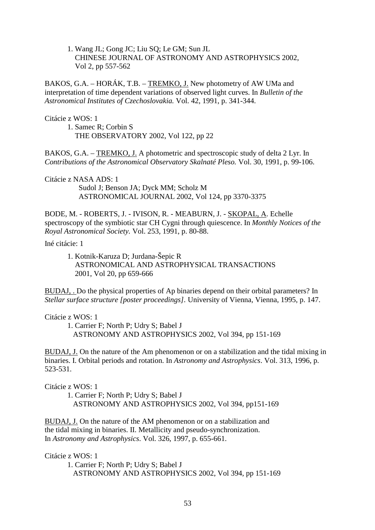1. Wang JL; Gong JC; Liu SQ; Le GM; Sun JL CHINESE JOURNAL OF ASTRONOMY AND ASTROPHYSICS 2002, Vol 2, pp 557-562

BAKOS, G.A. – HORÁK, T.B. – TREMKO, J. New photometry of AW UMa and interpretation of time dependent variations of observed light curves. In *Bulletin of the Astronomical Institutes of Czechoslovakia.* Vol. 42, 1991, p. 341-344.

Citácie z WOS: 1

 1. Samec R; Corbin S THE OBSERVATORY 2002, Vol 122, pp 22

BAKOS, G.A. – TREMKO, J. A photometric and spectroscopic study of delta 2 Lyr. In *Contributions of the Astronomical Observatory Skalnaté Pleso.* Vol. 30, 1991, p. 99-106.

Citácie z NASA ADS: 1

Sudol J; Benson JA; Dyck MM; Scholz M ASTRONOMICAL JOURNAL 2002, Vol 124, pp 3370-3375

BODE, M. - ROBERTS, J. - IVISON, R. - MEABURN, J. - SKOPAL, A. Echelle spectroscopy of the symbiotic star CH Cygni through quiescence. In *Monthly Notices of the Royal Astronomical Society.* Vol. 253, 1991, p. 80-88.

Iné citácie: 1

1. Kotnik-Karuza D; Jurdana-Šepic R ASTRONOMICAL AND ASTROPHYSICAL TRANSACTIONS 2001, Vol 20, pp 659-666

BUDAJ, . Do the physical properties of Ap binaries depend on their orbital parameters? In *Stellar surface structure [poster proceedings].* University of Vienna, Vienna, 1995, p. 147.

Citácie z WOS: 1

 1. Carrier F; North P; Udry S; Babel J ASTRONOMY AND ASTROPHYSICS 2002, Vol 394, pp 151-169

BUDAJ, J. On the nature of the Am phenomenon or on a stabilization and the tidal mixing in binaries. I. Orbital periods and rotation. In *Astronomy and Astrophysics*. Vol. 313, 1996, p. 523-531.

Citácie z WOS: 1

 1. Carrier F; North P; Udry S; Babel J ASTRONOMY AND ASTROPHYSICS 2002, Vol 394, pp151-169

BUDAJ, J. On the nature of the AM phenomenon or on a stabilization and the tidal mixing in binaries. II. Metallicity and pseudo-synchronization. In *Astronomy and Astrophysics*. Vol. 326, 1997, p. 655-661.

Citácie z WOS: 1

 1. Carrier F; North P; Udry S; Babel J ASTRONOMY AND ASTROPHYSICS 2002, Vol 394, pp 151-169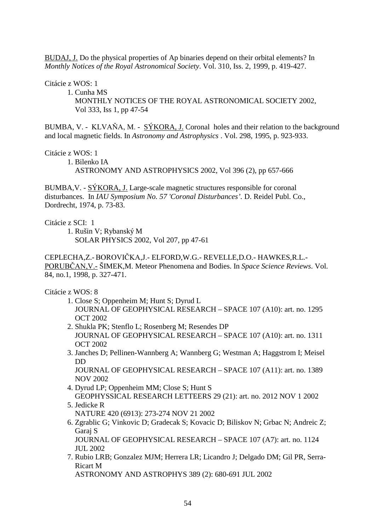BUDAJ, J. Do the physical properties of Ap binaries depend on their orbital elements? In *Monthly Notices of the Royal Astronomical Society*. Vol. 310, Iss. 2, 1999, p. 419-427.

Citácie z WOS: 1

 1. Cunha MS MONTHLY NOTICES OF THE ROYAL ASTRONOMICAL SOCIETY 2002, Vol 333, Iss 1, pp 47-54

BUMBA, V. - KLVAŇA, M. - SÝKORA, J. Coronal holes and their relation to the background and local magnetic fields. In *Astronomy and Astrophysics* . Vol. 298, 1995, p. 923-933.

Citácie z WOS: 1

 1. Bilenko IA ASTRONOMY AND ASTROPHYSICS 2002, Vol 396 (2), pp 657-666

BUMBA,V. - SÝKORA, J. Large-scale magnetic structures responsible for coronal disturbances. In *IAU Symposium No. 57 'Coronal Disturbances'.* D. Reidel Publ. Co., Dordrecht, 1974, p. 73-83.

Citácie z SCI: 1

 1. Rušin V; Rybanský M SOLAR PHYSICS 2002, Vol 207, pp 47-61

CEPLECHA,Z.- BOROVIČKA,J.- ELFORD,W.G.- REVELLE,D.O.- HAWKES,R.L.-PORUBCAN, V. - SIMEK, M. Meteor Phenomena and Bodies. In *Space Science Reviews*. Vol. 84, no.1, 1998, p. 327-471.

Citácie z WOS: 8

- 1. Close S; Oppenheim M; Hunt S; Dyrud L JOURNAL OF GEOPHYSICAL RESEARCH – SPACE 107 (A10): art. no. 1295 OCT 2002
- 2. Shukla PK; Stenflo L; Rosenberg M; Resendes DP JOURNAL OF GEOPHYSICAL RESEARCH – SPACE 107 (A10): art. no. 1311 OCT 2002
- 3. Janches D; Pellinen-Wannberg A; Wannberg G; Westman A; Haggstrom I; Meisel DD

 JOURNAL OF GEOPHYSICAL RESEARCH – SPACE 107 (A11): art. no. 1389 NOV 2002

- 4. Dyrud LP; Oppenheim MM; Close S; Hunt S GEOPHYSSICAL RESEARCH LETTEERS 29 (21): art. no. 2012 NOV 1 2002 5. Jedicke R
	- NATURE 420 (6913): 273-274 NOV 21 2002
- 6. Zgrablic G; Vinkovic D; Gradecak S; Kovacic D; Biliskov N; Grbac N; Andreic Z; Garaj S

 JOURNAL OF GEOPHYSICAL RESEARCH – SPACE 107 (A7): art. no. 1124 JUL 2002

 7. Rubio LRB; Gonzalez MJM; Herrera LR; Licandro J; Delgado DM; Gil PR, Serra- Ricart M

ASTRONOMY AND ASTROPHYS 389 (2): 680-691 JUL 2002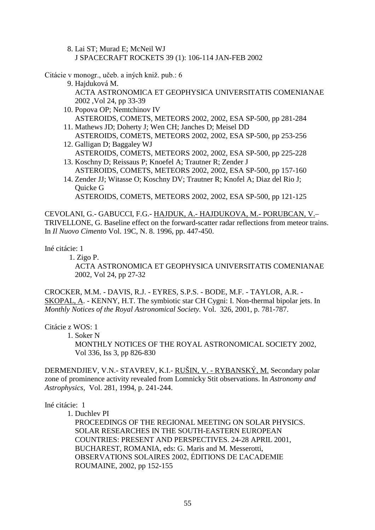8. Lai ST; Murad E; McNeil WJ J SPACECRAFT ROCKETS 39 (1): 106-114 JAN-FEB 2002

Citácie v monogr., učeb. a iných kniž. pub.: 6

- 9. Hajduková M. ACTA ASTRONOMICA ET GEOPHYSICA UNIVERSITATIS COMENIANAE 2002 ,Vol 24, pp 33-39
- 10. Popova OP; Nemtchinov IV ASTEROIDS, COMETS, METEORS 2002, 2002, ESA SP-500, pp 281-284
- 11. Mathews JD; Doherty J; Wen CH; Janches D; Meisel DD ASTEROIDS, COMETS, METEORS 2002, 2002, ESA SP-500, pp 253-256
- 12. Galligan D; Baggaley WJ ASTEROIDS, COMETS, METEORS 2002, 2002, ESA SP-500, pp 225-228
- 13. Koschny D; Reissaus P; Knoefel A; Trautner R; Zender J ASTEROIDS, COMETS, METEORS 2002, 2002, ESA SP-500, pp 157-160
- 14. Zender JJ; Witasse O; Koschny DV; Trautner R; Knofel A; Diaz del Rio J; Quicke G

ASTEROIDS, COMETS, METEORS 2002, 2002, ESA SP-500, pp 121-125

CEVOLANI, G.- GABUCCI, F.G.- HAJDUK, A.- HAJDUKOVA, M.- PORUBCAN, V.– TRIVELLONE, G. Baseline effect on the forward-scatter radar reflections from meteor trains. In *Il Nuovo Cimento* Vol. 19C, N. 8. 1996, pp. 447-450.

Iné citácie: 1

1. Zigo P.

 ACTA ASTRONOMICA ET GEOPHYSICA UNIVERSITATIS COMENIANAE 2002, Vol 24, pp 27-32

CROCKER, M.M. - DAVIS, R.J. - EYRES, S.P.S. - BODE, M.F. - TAYLOR, A.R. - SKOPAL, A. - KENNY, H.T. The symbiotic star CH Cygni: I. Non-thermal bipolar jets. In *Monthly Notices of the Royal Astronomical Society.* Vol. 326, 2001, p. 781-787.

Citácie z WOS: 1

1. Soker N

 MONTHLY NOTICES OF THE ROYAL ASTRONOMICAL SOCIETY 2002, Vol 336, Iss 3, pp 826-830

DERMENDJIEV, V.N.- STAVREV, K.I.- RUŠIN, V. - RYBANSKÝ, M. Secondary polar zone of prominence activity revealed from Lomnicky Stit observations. In *Astronomy and Astrophysics*, Vol. 281, 1994, p. 241-244.

#### Iné citácie: 1

1. Duchlev PI

 PROCEEDINGS OF THE REGIONAL MEETING ON SOLAR PHYSICS. SOLAR RESEARCHES IN THE SOUTH-EASTERN EUROPEAN COUNTRIES: PRESENT AND PERSPECTIVES. 24-28 APRIL 2001, BUCHAREST, ROMANIA, eds: G. Maris and M. Messerotti, OBSERVATIONS SOLAIRES 2002, ÉDITIONS DE L'ACADEMIE ROUMAINE, 2002, pp 152-155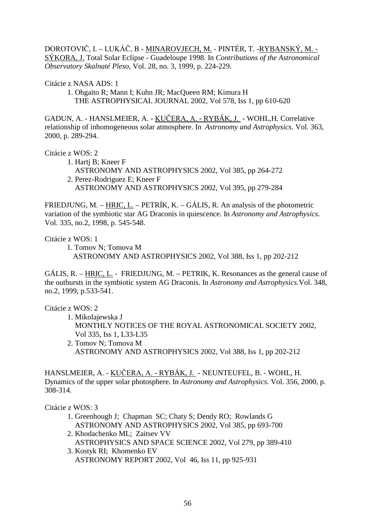DOROTOVIČ, I. – LUKÁČ, B - <u>MINAROVJECH, M.</u> - PINTÉR, T. -<u>RYBANSKÝ, M. -</u> SÝKORA, J. Total Solar Eclipse - Guadeloupe 1998. In *Contributions of the Astronomical Observatory Skalnaté Pleso*, Vol. 28, no. 3, 1999, p. 224-229.

Citácie z NASA ADS: 1

 1. Ohgaito R; Mann I; Kuhn JR; MacQueen RM; Kimura H THE ASTROPHYSICAL JOURNAL 2002, Vol 578, Iss 1, pp 610-620

GADUN, A. - HANSLMEIER, A. - <u>KUČERA, A. - RYBÁK, J.</u> - WOHL,H. Correlative relationship of inhomogeneous solar atmosphere. In *Astronomy and Astrophysics*. Vol. 363, 2000, p. 289-294.

Citácie z WOS: 2

- 1. Hartj B; Kneer F
- ASTRONOMY AND ASTROPHYSICS 2002, Vol 385, pp 264-272 2. Perez-Rodriguez E; Kneer F ASTRONOMY AND ASTROPHYSICS 2002, Vol 395, pp 279-284

FRIEDJUNG, M. – HRIC, L. – PETRÍK, K. – GÁLIS, R. An analysis of the photometric variation of the symbiotic star AG Draconis in quiescence. In *Astronomy and Astrophysics.*  Vol. 335, no.2, 1998, p. 545-548.

Citácie z WOS: 1

1. Tomov N; Tomova M ASTRONOMY AND ASTROPHYSICS 2002, Vol 388, Iss 1, pp 202-212

GÁLIS, R. – HRIC, L. - FRIEDJUNG, M. – PETRIK, K. Resonances as the general cause of the outbursts in the symbiotic system AG Draconis. In *Astronomy and Astrophysics.*Vol. 348, no.2, 1999, p.533-541.

Citácie z WOS: 2

- 1. Mikolajewska J MONTHLY NOTICES OF THE ROYAL ASTRONOMICAL SOCIETY 2002, Vol 335, Iss 1, L33-L35 2. Tomov N; Tomova M
	- ASTRONOMY AND ASTROPHYSICS 2002, Vol 388, Iss 1, pp 202-212

HANSLMEIER, A. - <u>KUČERA, A. - RYBÁK, J.</u> - NEUNTEUFEL, B. - WOHL, H. Dynamics of the upper solar photosphere. In *Astronomy and Astrophysics*. Vol. 356, 2000, p. 308-314.

Citácie z WOS: 3

- 1. Greenhough J; Chapman SC; Chaty S; Dendy RO; Rowlands G ASTRONOMY AND ASTROPHYSICS 2002, Vol 385, pp 693-700
- 2. Khodachenko ML; Zaitsev VV ASTROPHYSICS AND SPACE SCIENCE 2002, Vol 279, pp 389-410 3. Kostyk RI; Khomenko EV
- ASTRONOMY REPORT 2002, Vol 46, Iss 11, pp 925-931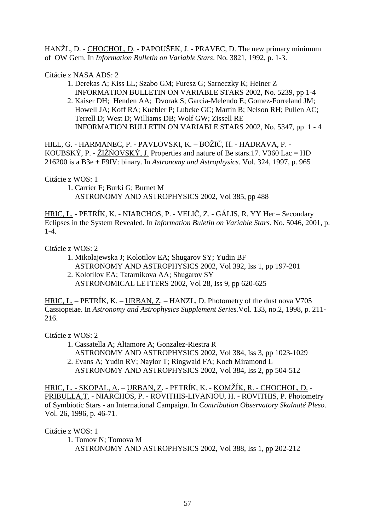HANŽL, D. - CHOCHOL, D. - PAPOUŠEK, J. - PRAVEC, D. The new primary minimum of OW Gem. In *Information Bulletin on Variable Stars*. No. 3821, 1992, p. 1-3.

Citácie z NASA ADS: 2

- 1. Derekas A; Kiss LL; Szabo GM; Furesz G; Sarneczky K; Heiner Z INFORMATION BULLETIN ON VARIABLE STARS 2002, No. 5239, pp 1-4
- 2. Kaiser DH; Henden AA; Dvorak S; Garcia-Melendo E; Gomez-Forreland JM; Howell JA; Koff RA; Kuebler P; Lubcke GC; Martin B; Nelson RH; Pullen AC; Terrell D; West D; Williams DB; Wolf GW; Zissell RE INFORMATION BULLETIN ON VARIABLE STARS 2002, No. 5347, pp 1 - 4

HILL, G. - HARMANEC, P. - PAVLOVSKI, K. – BOŽIČ, H. - HADRAVA, P. -KOUBSKÝ, P. -  $\angle$ ZIŽŇOVSKÝ, J. Properties and nature of Be stars.17. V360 Lac = HD 216200 is a B3e + F9IV: binary. In *Astronomy and Astrophysics.* Vol. 324, 1997, p. 965

Citácie z WOS: 1

 1. Carrier F; Burki G; Burnet M ASTRONOMY AND ASTROPHYSICS 2002, Vol 385, pp 488

<u>HRIC, L.</u> - PETRÍK, K. - NIARCHOS, P. - VELIČ, Z. - GÁLIS, R. YY Her – Secondary Eclipses in the System Revealed. In *Information Buletin on Variable Stars.* No*.* 5046, 2001*,* p. 1-4.

Citácie z WOS: 2

- 1. Mikolajewska J; Kolotilov EA; Shugarov SY; Yudin BF ASTRONOMY AND ASTROPHYSICS 2002, Vol 392, Iss 1, pp 197-201
- 2. Kolotilov EA; Tatarnikova AA; Shugarov SY ASTRONOMICAL LETTERS 2002, Vol 28, Iss 9, pp 620-625

HRIC, L. – PETRÍK, K. – URBAN, Z. – HANZL, D. Photometry of the dust nova V705 Cassiopeiae. In *Astronomy and Astrophysics Supplement Series.*Vol. 133, no.2, 1998, p. 211- 216.

Citácie z WOS: 2

- 1. Cassatella A; Altamore A; Gonzalez-Riestra R
- ASTRONOMY AND ASTROPHYSICS 2002, Vol 384, Iss 3, pp 1023-1029
- 2. Evans A; Yudin RV; Naylor T; Ringwald FA; Koch Miramond L
	- ASTRONOMY AND ASTROPHYSICS 2002, Vol 384, Iss 2, pp 504-512

<u>HRIC, L. - SKOPAL, A.</u> – <u>URBAN, Z</u>. - PETRÍK, K. - <u>KOMŽÍK, R. - CHOCHOL, D.</u> -PRIBULLA,T. - NIARCHOS, P. - ROVITHIS-LIVANIOU, H. - ROVITHIS, P. Photometry of Symbiotic Stars - an International Campaign. In *Contribution Observatory Skalnaté Pleso.* Vol. 26, 1996, p. 46-71.

Citácie z WOS: 1

 1. Tomov N; Tomova M ASTRONOMY AND ASTROPHYSICS 2002, Vol 388, Iss 1, pp 202-212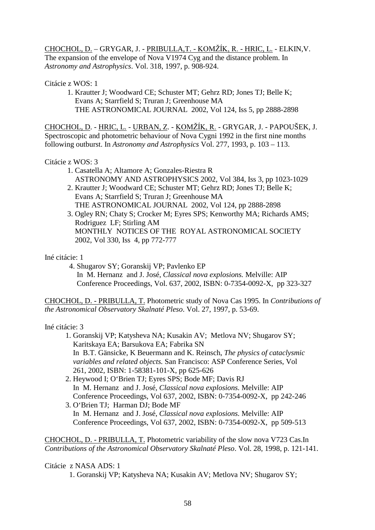<u>CHOCHOL, D.</u> – GRYGAR, J. - <u>PRIBULLA,T. - KOMŽÍK, R. - HRIC, L.</u> - ELKIN,V. The expansion of the envelope of Nova V1974 Cyg and the distance problem. In *Astronomy and Astrophysics*. Vol. 318, 1997, p. 908-924.

Citácie z WOS: 1

 1. Krautter J; Woodward CE; Schuster MT; Gehrz RD; Jones TJ; Belle K; Evans A; Starrfield S; Truran J; Greenhouse MA THE ASTRONOMICAL JOURNAL 2002, Vol 124, Iss 5, pp 2888-2898

<u>CHOCHOL, D</u>. - <u>HRIC, L.</u> - <u>URBAN, Z</u>. - <u>KOMŽÍK, R.</u> - GRYGAR, J. - PAPOUŠEK, J. Spectroscopic and photometric behaviour of Nova Cygni 1992 in the first nine months following outburst. In *Astronomy and Astrophysics* Vol. 277, 1993, p. 103 – 113.

### Citácie z WOS: 3

- 1. Casatella A; Altamore A; Gonzales-Riestra R ASTRONOMY AND ASTROPHYSICS 2002, Vol 384, Iss 3, pp 1023-1029
- 2. Krautter J; Woodward CE; Schuster MT; Gehrz RD; Jones TJ; Belle K; Evans A; Starrfield S; Truran J; Greenhouse MA THE ASTRONOMICAL JOURNAL 2002, Vol 124, pp 2888-2898
- 3. Ogley RN; Chaty S; Crocker M; Eyres SPS; Kenworthy MA; Richards AMS; Rodriguez LF; Stirling AM MONTHLY NOTICES OF THE ROYAL ASTRONOMICAL SOCIETY 2002, Vol 330, Iss 4, pp 772-777

Iné citácie: 1

4. Shugarov SY; Goranskij VP; Pavlenko EP

 In M. Hernanz and J. José, *Classical nova explosions.* Melville: AIP Conference Proceedings, Vol. 637, 2002, ISBN: 0-7354-0092-X, pp 323-327

CHOCHOL, D. - PRIBULLA, T. Photometric study of Nova Cas 1995. In *Contributions of the Astronomical Observatory Skalnaté Pleso*. Vol. 27, 1997, p. 53-69.

Iné citácie: 3

- 1. Goranskij VP; Katysheva NA; Kusakin AV; Metlova NV; Shugarov SY; Karitskaya EA; Barsukova EA; Fabrika SN In B.T. Gänsicke, K Beuermann and K. Reinsch, *The physics of cataclysmic variables and related objects.* San Francisco: ASP Conference Series, Vol 261, 2002, ISBN: 1-58381-101-X, pp 625-626
- 2. Heywood I; O'Brien TJ; Eyres SPS; Bode MF; Davis RJ In M. Hernanz and J. José, *Classical nova explosions.* Melville: AIP Conference Proceedings, Vol 637, 2002, ISBN: 0-7354-0092-X, pp 242-246
- 3. O'Brien TJ; Harman DJ; Bode MF In M. Hernanz and J. José, *Classical nova explosions.* Melville: AIP Conference Proceedings, Vol 637, 2002, ISBN: 0-7354-0092-X, pp 509-513

CHOCHOL, D. - PRIBULLA, T. Photometric variability of the slow nova V723 Cas.In *Contributions of the Astronomical Observatory Skalnaté Pleso*. Vol. 28, 1998, p. 121-141.

## Citácie z NASA ADS: 1

1. Goranskij VP; Katysheva NA; Kusakin AV; Metlova NV; Shugarov SY;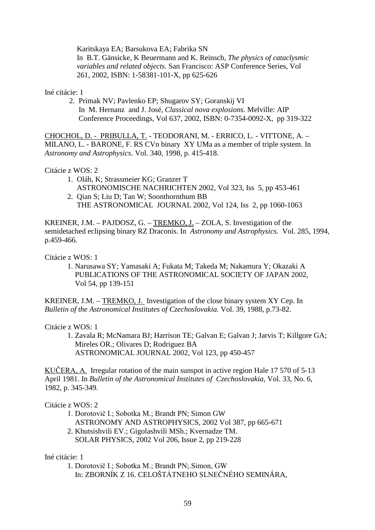Karitskaya EA; Barsukova EA; Fabrika SN

 In B.T. Gänsicke, K Beuermann and K. Reinsch, *The physics of cataclysmic variables and related objects.* San Francisco: ASP Conference Series, Vol 261, 2002, ISBN: 1-58381-101-X, pp 625-626

Iné citácie: 1

 2. Primak NV; Pavlenko EP; Shugarov SY; Goranskij VI In M. Hernanz and J. José, *Classical nova explosions.* Melville: AIP Conference Proceedings, Vol 637, 2002, ISBN: 0-7354-0092-X, pp 319-322

CHOCHOL, D. - PRIBULLA, T. - TEODORANI, M. - ERRICO, L. - VITTONE, A. – MILANO, L. - BARONE, F. RS CVn binary XY UMa as a member of triple system. In *Astronomy and Astrophysics*. Vol. 340, 1998, p. 415-418.

Citácie z WOS: 2

- 1. Oláh, K; Strassmeier KG; Granzer T ASTRONOMISCHE NACHRICHTEN 2002, Vol 323, Iss 5, pp 453-461
- 2. Qian S; Liu D; Tan W; Soonthornthum BB THE ASTRONOMICAL JOURNAL 2002, Vol 124, Iss 2, pp 1060-1063

KREINER, J.M. – PAJDOSZ, G. – TREMKO, J. – ZOLA, S. Investigation of the semidetached eclipsing binary RZ Draconis. In *Astronomy and Astrophysics.* Vol. 285, 1994, p.459-466.

Citácie z WOS: 1

 1. Narusawa SY; Yamasaki A; Fukata M; Takeda M; Nakamura Y; Okazaki A PUBLICATIONS OF THE ASTRONOMICAL SOCIETY OF JAPAN 2002, Vol 54, pp 139-151

KREINER, J.M. – TREMKO, J. Investigation of the close binary system XY Cep. In *Bulletin of the Astronomical Institutes of Czechoslovakia.* Vol. 39, 1988, p.73-82.

Citácie z WOS: 1

 1. Zavala R; McNamara BJ; Harrison TE; Galvan E; Galvan J; Jarvis T; Killgore GA; Mireles OR.; Olivares D; Rodriguez BA ASTRONOMICAL JOURNAL 2002, Vol 123, pp 450-457

KUČERA, A. Irregular rotation of the main sunspot in active region Hale 17 570 of 5-13 April 1981. In *Bulletin of the Astronomical Institutes of Czechoslovakia*, Vol. 33, No. 6, 1982, p. 345-349.

#### Citácie z WOS: 2

- 1. Dorotovič I.; Sobotka M.; Brandt PN; Simon GW ASTRONOMY AND ASTROPHYSICS, 2002 Vol 387, pp 665-671
	- 2. Khutsishvili EV.; Gigolashvili MSh.; Kvernadze TM. SOLAR PHYSICS, 2002 Vol 206, Issue 2, pp 219-228

#### Iné citácie: 1

1. Dorotovič I.; Sobotka M.; Brandt PN; Simon, GW In: ZBORNÍK Z 16. CELOŠTÁTNEHO SLNEČNÉHO SEMINÁRA,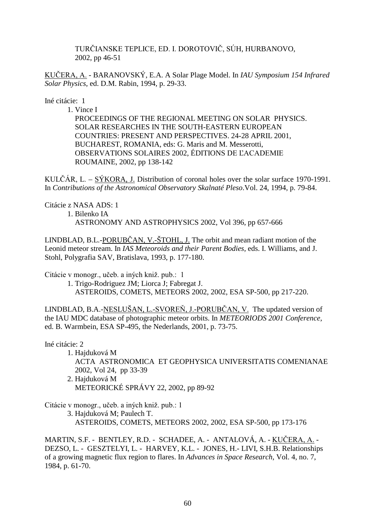TURČIANSKE TEPLICE, ED. I. DOROTOVIČ, SÚH, HURBANOVO, 2002, pp 46-51

KUČERA, A. - BARANOVSKÝ, E.A. A Solar Plage Model. In *IAU Symposium 154 Infrared Solar Physics*, ed. D.M. Rabin, 1994, p. 29-33.

Iné citácie: 1

1. Vince I

 PROCEEDINGS OF THE REGIONAL MEETING ON SOLAR PHYSICS. SOLAR RESEARCHES IN THE SOUTH-EASTERN EUROPEAN COUNTRIES: PRESENT AND PERSPECTIVES. 24-28 APRIL 2001, BUCHAREST, ROMANIA, eds: G. Maris and M. Messerotti, OBSERVATIONS SOLAIRES 2002, ÉDITIONS DE L'ACADEMIE ROUMAINE, 2002, pp 138-142

KULČÁR, L. –  $S$ ÝKORA, J. Distribution of coronal holes over the solar surface 1970-1991. In *Contributions of the Astronomical Observatory Skalnaté Pleso*.Vol. 24, 1994, p. 79-84.

Citácie z NASA ADS: 1 1. Bilenko IA ASTRONOMY AND ASTROPHYSICS 2002, Vol 396, pp 657-666

LINDBLAD, B.L.-PORUBČAN, V.-ŠTOHL, J. The orbit and mean radiant motion of the Leonid meteor stream. In *IAS Meteoroids and their Parent Bodies,* eds. I. Williams, and J. Stohl, Polygrafia SAV, Bratislava, 1993, p. 177-180.

Citácie v monogr., učeb. a iných kniž. pub.: 1

 1. Trigo-Rodriguez JM; Liorca J; Fabregat J. ASTEROIDS, COMETS, METEORS 2002, 2002, ESA SP-500, pp 217-220.

LINDBLAD, B.A.-NESLUŠAN, L.-SVOREŇ, J.-PORUBČAN, V. The updated version of the IAU MDC database of photographic meteor orbits. In *METEORIODS 2001 Conference,* ed. B. Warmbein, ESA SP-495, the Nederlands, 2001, p. 73-75.

Iné citácie: 2

1. Hajduková M

 ACTA ASTRONOMICA ET GEOPHYSICA UNIVERSITATIS COMENIANAE 2002, Vol 24, pp 33-39

 2. Hajduková M METEORICKÉ SPRÁVY 22, 2002, pp 89-92

Citácie v monogr., učeb. a iných kniž. pub.: 1

 3. Hajduková M; Paulech T. ASTEROIDS, COMETS, METEORS 2002, 2002, ESA SP-500, pp 173-176

MARTIN, S.F. - BENTLEY, R.D. - SCHADEE, A. - ANTALOVÁ, A. - <u>KUČERA, A.</u> -DEZSO, L. - GESZTELYI, L. - HARVEY, K.L. - JONES, H.- LIVI, S.H.B. Relationships of a growing magnetic flux region to flares. In *Advances in Space Research*, Vol. 4, no. 7, 1984, p. 61-70.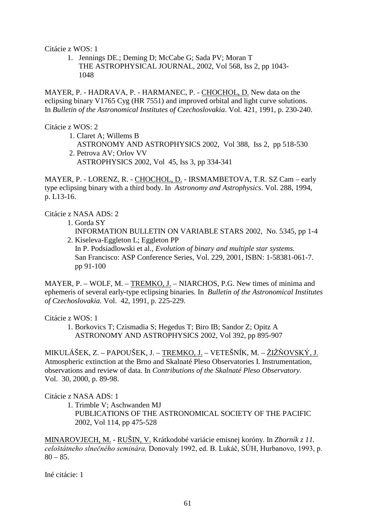Citácie z WOS: 1

1. Jennings DE.; Deming D; McCabe G; Sada PV; Moran T THE ASTROPHYSICAL JOURNAL, 2002, Vol 568, Iss 2, pp 1043- 1048

MAYER, P. - HADRAVA, P. - HARMANEC, P. - CHOCHOL, D. New data on the eclipsing binary V1765 Cyg (HR 7551) and improved orbital and light curve solutions. In *Bulletin of the Astronomical Institutes of Czechoslovakia*. Vol. 421, 1991, p. 230-240.

Citácie z WOS: 2

 1. Claret A; Willems B ASTRONOMY AND ASTROPHYSICS 2002, Vol 388, Iss 2, pp 518-530 2. Petrova AV; Orlov VV

ASTROPHYSICS 2002, Vol 45, Iss 3, pp 334-341

MAYER, P. - LORENZ, R. - CHOCHOL, D. - IRSMAMBETOVA, T.R. SZ Cam – early type eclipsing binary with a third body. In *Astronomy and Astrophysics*. Vol. 288, 1994, p. L13-16.

Citácie z NASA ADS: 2

- 1. Gorda SY
- INFORMATION BULLETIN ON VARIABLE STARS 2002, No. 5345, pp 1-4 2. Kiseleva-Eggleton L; Eggleton PP
- In P. Podsiadlowski et al., *Evolution of binary and multiple star systems.*  San Francisco: ASP Conference Series, Vol. 229, 2001, ISBN: 1-58381-061-7. pp 91-100

MAYER, P. – WOLF, M. – TREMKO, J. – NIARCHOS, P.G. New times of minima and ephemeris of several early-type eclipsing binaries. In *Bulletin of the Astronomical Institutes of Czechoslovakia.* Vol. 42, 1991, p. 225-229.

Citácie z WOS: 1

 1. Borkovics T; Czismadia S; Hegedus T; Biro IB; Sandor Z; Opitz A ASTRONOMY AND ASTROPHYSICS 2002, Vol 392, pp 895-907

MIKULÁŠEK, Z. – PAPOUŠEK, J. – <u>TREMKO, J.</u> – VETEŠNÍK, M. – <u>ŽIŽŇOVSKÝ, J.</u> Atmospheric extinction at the Brno and Skalnaté Pleso Observatories I. Instrumentation, observations and review of data. In *Contributions of the Skalnaté Pleso Observatory.*  Vol. 30, 2000, p. 89-98.

Citácie z NASA ADS: 1

 1. Trimble V; Aschwanden MJ PUBLICATIONS OF THE ASTRONOMICAL SOCIETY OF THE PACIFIC 2002, Vol 114, pp 475-528

MINAROVJECH, M. - RUŠIN, V. Krátkodobé variácie emisnej koróny. In *Zborník z 11.*  celoštátneho slnečného seminára, Donovaly 1992, ed. B. Lukáč, SÚH, Hurbanovo, 1993, p.  $80 - 85.$ 

Iné citácie: 1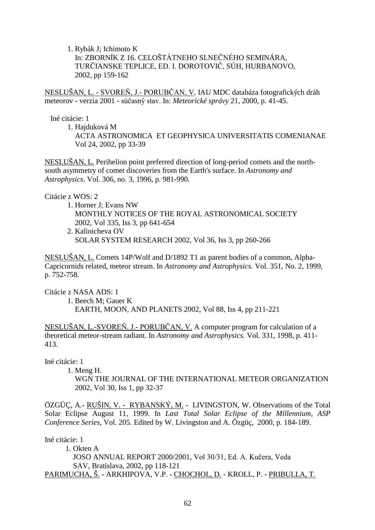1. Rybák J; Ichimoto K In: ZBORNÍK Z 16. CELOŠTÁTNEHO SLNEČNÉHO SEMINÁRA, TURČIANSKE TEPLICE, ED. I. DOROTOVIČ, SÚH, HURBANOVO, 2002, pp 159-162

<u>NESLUŠAN, L. - SVOREŇ, J.- PORUBČAN, V</u>. IAU MDC databáza fotografických dráh meteorov - verzia 2001 - súčasný stav. In: Meteorické správy 21, 2000, p. 41-45.

Iné citácie: 1

1. Hajduková M

 ACTA ASTRONOMICA ET GEOPHYSICA UNIVERSITATIS COMENIANAE Vol 24, 2002, pp 33-39

NESLUŠAN, L. Perihelion point preferred direction of long-period comets and the northsouth asymmetry of comet discoveries from the Earth's surface. In *Astronomy and Astrophysics*. Vol. 306, no. 3, 1996, p. 981-990.

Citácie z WOS: 2

- 1. Horner J; Evans NW MONTHLY NOTICES OF THE ROYAL ASTRONOMICAL SOCIETY 2002, Vol 335, Iss 3, pp 641-654
- 2. Kalinicheva OV SOLAR SYSTEM RESEARCH 2002, Vol 36, Iss 3, pp 260-266

NESLUŠAN, L. Comets 14P/Wolf and D/1892 T1 as parent bodies of a common, Alpha-Capricornids related, meteor stream. In *Astronomy and Astrophysics.* Vol. 351, No. 2, 1999, p. 752-758.

Citácie z NASA ADS: 1

 1. Beech M; Gauer K EARTH, MOON, AND PLANETS 2002, Vol 88, Iss 4, pp 211-221

NESLUŠAN, L.-SVOREŇ, J.- PORUBČAN, V. A computer program for calculation of a theoretical meteor-stream radiant. In *Astronomy and Astrophysics.* Vol. 331, 1998, p. 411- 413.

Iné citácie: 1

1. Meng H.

 WGN THE JOURNAL OF THE INTERNATIONAL METEOR ORGANIZATION 2002, Vol 30, Iss 1, pp 32-37

ÖZGÜÇ, A.- RUŠIN, V. - RYBANSKÝ, M. - LIVINGSTON, W. Observations of the Total Solar Eclipse August 11, 1999. In *Last Total Solar Eclipse of the Millennium, ASP Conference Series*, Vol. 205. Edited by W. Livingston and A. Özgüç, 2000, p. 184-189.

Iné citácie: 1

 1. Okten A JOSO ANNUAL REPORT 2000/2001, Vol 30/31, Ed. A. Kučera, Veda SAV, Bratislava, 2002, pp 118-121 PARIMUCHA, Š. - ARKHIPOVA, V.P. - CHOCHOL, D. - KROLL, P. - PRIBULLA, T.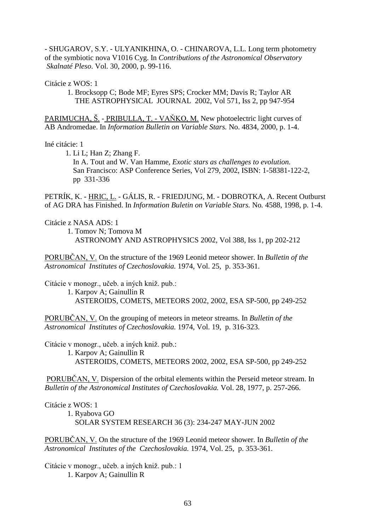- SHUGAROV, S.Y. - ULYANIKHINA, O. - CHINAROVA, L.L. Long term photometry of the symbiotic nova V1016 Cyg. In *Contributions of the Astronomical Observatory Skalnaté Pleso*. Vol. 30, 2000, p. 99-116.

Citácie z WOS: 1

 1. Brocksopp C; Bode MF; Eyres SPS; Crocker MM; Davis R; Taylor AR THE ASTROPHYSICAL JOURNAL 2002, Vol 571, Iss 2, pp 947-954

PARIMUCHA, Š. - PRIBULLA, T. - VAŇKO, M. New photoelectric light curves of AB Andromedae. In *Information Bulletin on Variable Stars.* No. 4834, 2000, p. 1-4.

Iné citácie: 1

 1. Li L; Han Z; Zhang F. In A. Tout and W. Van Hamme, *Exotic stars as challenges to evolution.* San Francisco: ASP Conference Series, Vol 279, 2002, ISBN: 1-58381-122-2, pp 331-336

PETRÍK, K. - HRIC, L. - GÁLIS, R. - FRIEDJUNG, M. - DOBROTKA, A. Recent Outburst of AG DRA has Finished. In *Information Buletin on Variable Stars.* No*.* 4588, 1998*,* p. 1-4.

Citácie z NASA ADS: 1

 1. Tomov N; Tomova M ASTRONOMY AND ASTROPHYSICS 2002, Vol 388, Iss 1, pp 202-212

PORUBCAN, V. On the structure of the 1969 Leonid meteor shower. In *Bulletin of the Astronomical Institutes of Czechoslovakia.* 1974, Vol. 25, p. 353-361.

Citácie v monogr., učeb. a iných kniž. pub.:

 1. Karpov A; Gainullin R ASTEROIDS, COMETS, METEORS 2002, 2002, ESA SP-500, pp 249-252

PORUBČAN, V. On the grouping of meteors in meteor streams. In *Bulletin of the Astronomical Institutes of Czechoslovakia.* 1974, Vol. 19, p. 316-323.

Citácie v monogr., učeb. a iných kniž. pub.:

 1. Karpov A; Gainullin R ASTEROIDS, COMETS, METEORS 2002, 2002, ESA SP-500, pp 249-252

PORUBČAN, V. Dispersion of the orbital elements within the Perseid meteor stream. In *Bulletin of the Astronomical Institutes of Czechoslovakia.* Vol. 28, 1977, p. 257-266.

Citácie z WOS: 1

1. Ryabova GO

SOLAR SYSTEM RESEARCH 36 (3): 234-247 MAY-JUN 2002

PORUBCAN, V. On the structure of the 1969 Leonid meteor shower. In *Bulletin of the Astronomical Institutes of the Czechoslovakia.* 1974, Vol. 25, p. 353-361.

Citácie v monogr., učeb. a iných kniž. pub.: 1 1. Karpov A; Gainullin R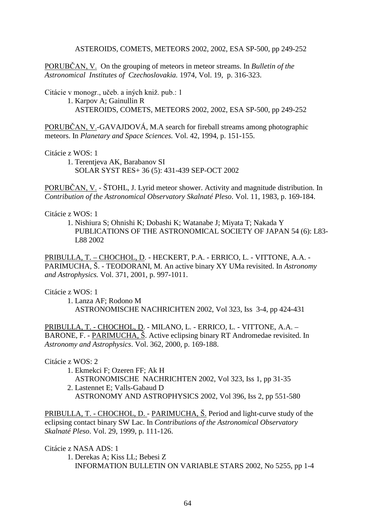ASTEROIDS, COMETS, METEORS 2002, 2002, ESA SP-500, pp 249-252

PORUBCAN, V. On the grouping of meteors in meteor streams. In *Bulletin of the Astronomical Institutes of Czechoslovakia.* 1974, Vol. 19, p. 316-323.

Citácie v monogr., učeb. a iných kniž. pub.: 1

 1. Karpov A; Gainullin R ASTEROIDS, COMETS, METEORS 2002, 2002, ESA SP-500, pp 249-252

PORUBCAN, V.-GAVAJDOVÁ, M.A search for fireball streams among photographic meteors. In *Planetary and Space Sciences.* Vol. 42, 1994, p. 151-155.

Citácie z WOS: 1

 1. Terentjeva AK, Barabanov SI SOLAR SYST RES+ 36 (5): 431-439 SEP-OCT 2002

PORUBČAN, V. - ŠTOHL, J. Lyrid meteor shower. Activity and magnitude distribution. In *Contribution of the Astronomical Observatory Skalnaté Pleso*. Vol. 11, 1983, p. 169-184.

Citácie z WOS: 1

 1. Nishiura S; Ohnishi K; Dobashi K; Watanabe J; Miyata T; Nakada Y PUBLICATIONS OF THE ASTRONOMICAL SOCIETY OF JAPAN 54 (6): L83- L88 2002

PRIBULLA, T. – CHOCHOL, D. - HECKERT, P.A. - ERRICO, L. - VITTONE, A.A. - PARIMUCHA, Š. - TEODORANI, M. An active binary XY UMa revisited. In *Astronomy and Astrophysics.* Vol. 371, 2001, p. 997-1011.

Citácie z WOS: 1

 1. Lanza AF; Rodono M ASTRONOMISCHE NACHRICHTEN 2002, Vol 323, Iss 3-4, pp 424-431

PRIBULLA, T. - CHOCHOL, D. - MILANO, L. - ERRICO, L. - VITTONE, A.A. – BARONE, F. - PARIMUCHA, Š. Active eclipsing binary RT Andromedae revisited. In *Astronomy and Astrophysics*. Vol. 362, 2000, p. 169-188.

Citácie z WOS: 2

- 1. Ekmekci F; Ozeren FF; Ak H ASTRONOMISCHE NACHRICHTEN 2002, Vol 323, Iss 1, pp 31-35
- 2. Lastennet E; Valls-Gabaud D
	- ASTRONOMY AND ASTROPHYSICS 2002, Vol 396, Iss 2, pp 551-580

PRIBULLA, T. - CHOCHOL, D. - PARIMUCHA,  $\check{S}$ . Period and light-curve study of the eclipsing contact binary SW Lac. In *Contributions of the Astronomical Observatory Skalnaté Pleso*. Vol. 29, 1999, p. 111-126.

Citácie z NASA ADS: 1

 1. Derekas A; Kiss LL; Bebesi Z INFORMATION BULLETIN ON VARIABLE STARS 2002, No 5255, pp 1-4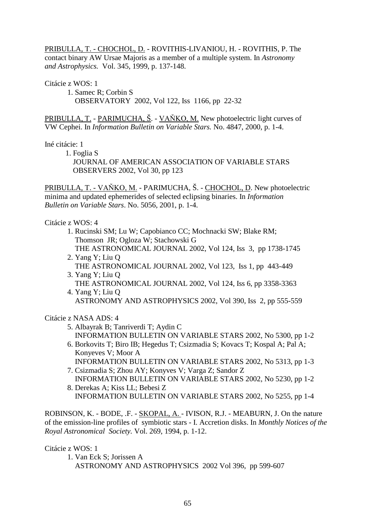PRIBULLA, T. - CHOCHOL, D. - ROVITHIS-LIVANIOU, H. - ROVITHIS, P. The contact binary AW Ursae Majoris as a member of a multiple system. In *Astronomy and Astrophysics.* Vol. 345, 1999, p. 137-148.

Citácie z WOS: 1

 1. Samec R; Corbin S OBSERVATORY 2002, Vol 122, Iss 1166, pp 22-32

PRIBULLA, T. - PARIMUCHA, Š. - VAŇKO, M. New photoelectric light curves of VW Cephei. In *Information Bulletin on Variable Stars.* No. 4847, 2000, p. 1-4.

Iné citácie: 1

1. Foglia S

 JOURNAL OF AMERICAN ASSOCIATION OF VARIABLE STARS OBSERVERS 2002, Vol 30, pp 123

PRIBULLA, T. - VAŇKO, M. - PARIMUCHA, Š. - CHOCHOL, D. New photoelectric minima and updated ephemerides of selected eclipsing binaries. In *Information Bulletin on Variable Stars*. No. 5056, 2001, p. 1-4.

Citácie z WOS: 4

- 1. Rucinski SM; Lu W; Capobianco CC; Mochnacki SW; Blake RM; Thomson JR; Ogloza W; Stachowski G THE ASTRONOMICAL JOURNAL 2002, Vol 124, Iss 3, pp 1738-1745
- 2. Yang Y; Liu Q THE ASTRONOMICAL JOURNAL 2002, Vol 123, Iss 1, pp 443-449
- 3. Yang Y; Liu Q THE ASTRONOMICAL JOURNAL 2002, Vol 124, Iss 6, pp 3358-3363
- 4. Yang Y; Liu Q ASTRONOMY AND ASTROPHYSICS 2002, Vol 390, Iss 2, pp 555-559

Citácie z NASA ADS: 4

- 5. Albayrak B; Tanriverdi T; Aydin C INFORMATION BULLETIN ON VARIABLE STARS 2002, No 5300, pp 1-2
- 6. Borkovits T; Biro IB; Hegedus T; Csizmadia S; Kovacs T; Kospal A; Pal A; Konyeves V; Moor A INFORMATION BULLETIN ON VARIABLE STARS 2002, No 5313, pp 1-3
- 7. Csizmadia S; Zhou AY; Konyves V; Varga Z; Sandor Z INFORMATION BULLETIN ON VARIABLE STARS 2002, No 5230, pp 1-2
- 8. Derekas A; Kiss LL; Bebesi Z INFORMATION BULLETIN ON VARIABLE STARS 2002, No 5255, pp 1-4

ROBINSON, K. - BODE, .F. - SKOPAL, A. - IVISON, R.J. - MEABURN, J. On the nature of the emission-line profiles of symbiotic stars - I. Accretion disks. In *Monthly Notices of the Royal Astronomical Society.* Vol. 269, 1994, p. 1-12.

Citácie z WOS: 1

 1. Van Eck S; Jorissen A ASTRONOMY AND ASTROPHYSICS 2002 Vol 396, pp 599-607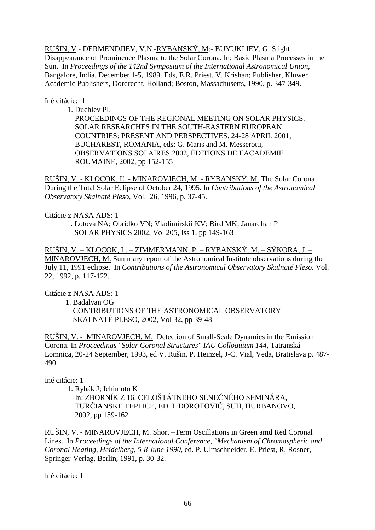RUŠIN, V.- DERMENDJIEV, V.N.-RYBANSKÝ, M:- BUYUKLIEV, G. Slight Disappearance of Prominence Plasma to the Solar Corona. In: Basic Plasma Processes in the Sun. In *Proceedings of the 142nd Symposium of the International Astronomical Union*, Bangalore, India, December 1-5, 1989. Eds, E.R. Priest, V. Krishan; Publisher, Kluwer Academic Publishers, Dordrecht, Holland; Boston, Massachusetts, 1990, p. 347-349.

#### Iné citácie: 1

1. Duchlev PI.

 PROCEEDINGS OF THE REGIONAL MEETING ON SOLAR PHYSICS. SOLAR RESEARCHES IN THE SOUTH-EASTERN EUROPEAN COUNTRIES: PRESENT AND PERSPECTIVES. 24-28 APRIL 2001, BUCHAREST, ROMANIA, eds: G. Maris and M. Messerotti, OBSERVATIONS SOLAIRES 2002, ÉDITIONS DE L'ACADEMIE ROUMAINE, 2002, pp 152-155

RUŠIN, V. - KLOCOK, Ľ. - MINAROVJECH, M. - RYBANSKÝ, M. The Solar Corona During the Total Solar Eclipse of October 24, 1995. In *Contributions of the Astronomical Observatory Skalnaté Pleso*, Vol. 26, 1996, p. 37-45.

### Citácie z NASA ADS: 1

 1. Lotova NA; Obridko VN; Vladimirskii KV; Bird MK; Janardhan P SOLAR PHYSICS 2002, Vol 205, Iss 1, pp 149-163

RUŠIN, V. – KLOCOK, L. – ZIMMERMANN, P. – RYBANSKÝ, M. – SÝKORA, J. – MINAROVJECH, M. Summary report of the Astronomical Institute observations during the July 11, 1991 eclipse. In *Contributions of the Astronomical Observatory Skalnaté Pleso.* Vol. 22, 1992, p. 117-122.

## Citácie z NASA ADS: 1

1. Badalyan OG

 CONTRIBUTIONS OF THE ASTRONOMICAL OBSERVATORY SKALNATÉ PLESO, 2002, Vol 32, pp 39-48

RUŠIN, V. - MINAROVJECH, M. Detection of Small-Scale Dynamics in the Emission Corona. In *Proceedings "Solar Coronal Structures" IAU Colloquium 144*, Tatranská Lomnica, 20-24 September, 1993, ed V. Rušin, P. Heinzel, J-C. Vial, Veda, Bratislava p. 487- 490.

Iné citácie: 1

1. Rybák J; Ichimoto K

In: ZBORNÍK Z 16. CELOŠTÁTNEHO SLNEČNÉHO SEMINÁRA, TURČIANSKE TEPLICE, ED. I. DOROTOVIČ, SÚH, HURBANOVO, 2002, pp 159-162

RUŠIN, V. - MINAROVJECH, M. Short –Term Oscillations in Green amd Red Coronal Lines. In *Proceedings of the International Conference, "Mechanism of Chromospheric and Coronal Heating, Heidelberg, 5-8 June 1990*, ed. P. Ulmschneider, E. Priest, R. Rosner, Springer-Verlag, Berlin, 1991, p. 30-32.

Iné citácie: 1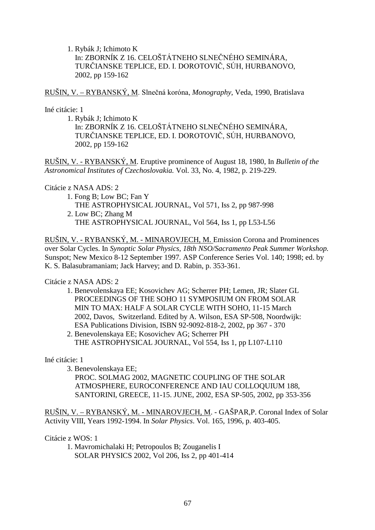1. Rybák J; Ichimoto K In: ZBORNÍK Z 16. CELOŠTÁTNEHO SLNEČNÉHO SEMINÁRA, TURČIANSKE TEPLICE, ED. I. DOROTOVIČ, SÚH, HURBANOVO, 2002, pp 159-162

RUŠIN, V. – RYBANSKÝ, M. Slnečná koróna, *Monography*, Veda, 1990, Bratislava

Iné citácie: 1

 1. Rybák J; Ichimoto K In: ZBORNÍK Z 16. CELOŠTÁTNEHO SLNEČNÉHO SEMINÁRA, TURČIANSKE TEPLICE, ED. I. DOROTOVIČ, SÚH, HURBANOVO, 2002, pp 159-162

RUŠIN, V. - RYBANSKÝ, M. Eruptive prominence of August 18, 1980, In *Bulletin of the Astronomical Institutes of Czechoslovakia.* Vol. 33, No. 4, 1982, p. 219-229.

### Citácie z NASA ADS: 2

 1. Fong B; Low BC; Fan Y THE ASTROPHYSICAL JOURNAL, Vol 571, Iss 2, pp 987-998 2. Low BC; Zhang M

THE ASTROPHYSICAL JOURNAL, Vol 564, Iss 1, pp L53-L56

RUŠIN, V. - RYBANSKÝ, M. - MINAROVJECH, M. Emission Corona and Prominences over Solar Cycles. In *Synoptic Solar Physics, 18th NSO/Sacramento Peak Summer Workshop.*  Sunspot; New Mexico 8-12 September 1997*.* ASP Conference Series Vol. 140; 1998; ed. by K. S. Balasubramaniam; Jack Harvey; and D. Rabin, p. 353-361.

## Citácie z NASA ADS: 2

- 1. Benevolenskaya EE; Kosovichev AG; Scherrer PH; Lemen, JR; Slater GL PROCEEDINGS OF THE SOHO 11 SYMPOSIUM ON FROM SOLAR MIN TO MAX: HALF A SOLAR CYCLE WITH SOHO, 11-15 March 2002, Davos, Switzerland. Edited by A. Wilson, ESA SP-508, Noordwijk: ESA Publications Division, ISBN 92-9092-818-2, 2002, pp 367 - 370
- 2. Benevolenskaya EE; Kosovichev AG; Scherrer PH THE ASTROPHYSICAL JOURNAL, Vol 554, Iss 1, pp L107-L110

Iné citácie: 1

 3. Benevolenskaya EE; PROC. SOLMAG 2002, MAGNETIC COUPLING OF THE SOLAR ATMOSPHERE, EUROCONFERENCE AND IAU COLLOQUIUM 188, SANTORINI, GREECE, 11-15. JUNE, 2002, ESA SP-505, 2002, pp 353-356

RUŠIN, V. – RYBANSKÝ, M. - MINAROVJECH, M. - GAŠPAR,P. Coronal Index of Solar Activity VIII, Years 1992-1994. In *Solar Physics*. Vol. 165, 1996, p. 403-405.

Citácie z WOS: 1

 1. Mavromichalaki H; Petropoulos B; Zouganelis I SOLAR PHYSICS 2002, Vol 206, Iss 2, pp 401-414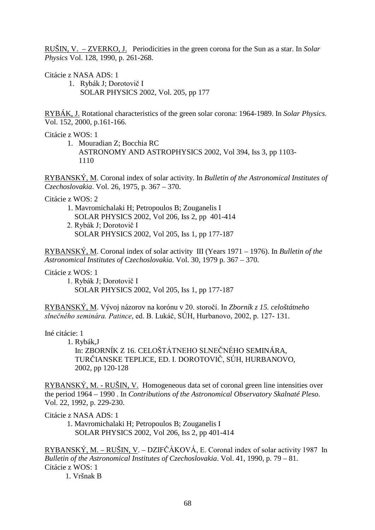RUŠIN, V. – ZVERKO, J. Periodicities in the green corona for the Sun as a star. In *Solar Physics* Vol. 128, 1990, p. 261-268.

Citácie z NASA ADS: 1

1. Rybák J; Dorotovič I SOLAR PHYSICS 2002, Vol. 205, pp 177

RYBÁK, J. Rotational characteristics of the green solar corona: 1964-1989. In *Solar Physics.* Vol. 152, 2000, p.161-166.

Citácie z WOS: 1

1. Mouradian Z; Bocchia RC ASTRONOMY AND ASTROPHYSICS 2002, Vol 394, Iss 3, pp 1103- 1110

RYBANSKÝ, M. Coronal index of solar activity. In *Bulletin of the Astronomical Institutes of Czechoslovakia*. Vol. 26, 1975, p. 367 – 370.

Citácie z WOS: 2

- 1. Mavromichalaki H; Petropoulos B; Zouganelis I SOLAR PHYSICS 2002, Vol 206, Iss 2, pp 401-414 2. Rybák J; Dorotovič I
- SOLAR PHYSICS 2002, Vol 205, Iss 1, pp 177-187

RYBANSKÝ, M. Coronal index of solar activity III (Years 1971 – 1976). In *Bulletin of the Astronomical Institutes of Czechoslovakia*. Vol. 30, 1979 p. 367 – 370.

Citácie z WOS: 1

1. Rybák J; Dorotovič I SOLAR PHYSICS 2002, Vol 205, Iss 1, pp 177-187

<u>RYBANSKÝ, M</u>. Vývoj názorov na korónu v 20. storočí. In Zbo*rník z 15. celoštátneho* slnečného seminára. Patince, ed. B. Lukáč, SÚH, Hurbanovo, 2002, p. 127- 131.

Iné citácie: 1

1. Rybák,J

In: ZBORNÍK Z 16. CELOŠTÁTNEHO SLNEČNÉHO SEMINÁRA, TURČIANSKE TEPLICE, ED. I. DOROTOVIČ, SÚH, HURBANOVO, 2002, pp 120-128

RYBANSKÝ, M. - RUŠIN, V. Homogeneous data set of coronal green line intensities over the period 1964 – 1990 . In *Contributions of the Astronomical Observatory Skalnaté Pleso*. Vol. 22, 1992, p. 229-230.

Citácie z NASA ADS: 1

1. Mavromichalaki H; Petropoulos B; Zouganelis I SOLAR PHYSICS 2002, Vol 206, Iss 2, pp 401-414

<u>RYBANSKÝ, M. – RUSIN, V</u>. – DZIFČÁKOVÁ, E. Coronal index of solar activity 1987 In *Bulletin of the Astronomical Institutes of Czechoslovakia*. Vol. 41, 1990, p. 79 – 81. Citácie z WOS: 1

1. Vršnak B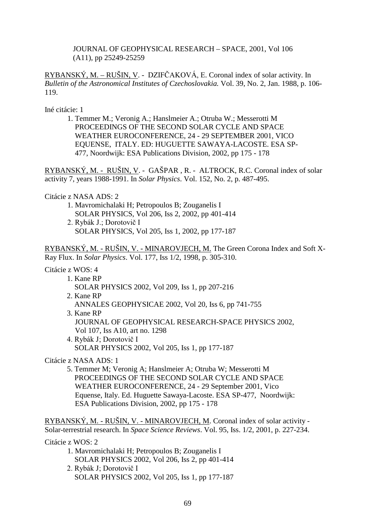JOURNAL OF GEOPHYSICAL RESEARCH – SPACE, 2001, Vol 106 (A11), pp 25249-25259

 $RYBANSKÝ, M. - RUŠIN, V. - DZIFČAKOVÁ, E. Coronal index of solar activity. In$ *Bulletin of the Astronomical Institutes of Czechoslovakia.* Vol. 39, No. 2, Jan. 1988, p. 106- 119.

Iné citácie: 1

 1. Temmer M.; Veronig A.; Hanslmeier A.; Otruba W.; Messerotti M PROCEEDINGS OF THE SECOND SOLAR CYCLE AND SPACE WEATHER EUROCONFERENCE, 24 - 29 SEPTEMBER 2001, VICO EQUENSE, ITALY. ED: HUGUETTE SAWAYA-LACOSTE. ESA SP- 477, Noordwijk: ESA Publications Division, 2002, pp 175 - 178

RYBANSKÝ, M. - RUŠIN, V. - GAŠPAR , R. - ALTROCK, R.C. Coronal index of solar activity 7, years 1988-1991. In *Solar Physics*. Vol. 152, No. 2, p. 487-495.

Citácie z NASA ADS: 2

- 1. Mavromichalaki H; Petropoulos B; Zouganelis I SOLAR PHYSICS, Vol 206, Iss 2, 2002, pp 401-414
- 2. Rybák J.; Dorotovič I SOLAR PHYSICS, Vol 205, Iss 1, 2002, pp 177-187

RYBANSKÝ, M. - RUŠIN, V. - MINAROVJECH, M. The Green Corona Index and Soft X-Ray Flux. In *Solar Physics*. Vol. 177, Iss 1/2, 1998, p. 305-310.

#### Citácie z WOS: 4

- 1. Kane RP SOLAR PHYSICS 2002, Vol 209, Iss 1, pp 207-216 2. Kane RP ANNALES GEOPHYSICAE 2002, Vol 20, Iss 6, pp 741-755
- 3. Kane RP
	- JOURNAL OF GEOPHYSICAL RESEARCH-SPACE PHYSICS 2002, Vol 107, Iss A10, art no. 1298
- 4. Rybák J; Dorotovič I SOLAR PHYSICS 2002, Vol 205, Iss 1, pp 177-187

Citácie z NASA ADS: 1

5. Temmer M; Veronig A; Hanslmeier A; Otruba W; Messerotti M PROCEEDINGS OF THE SECOND SOLAR CYCLE AND SPACE WEATHER EUROCONFERENCE, 24 - 29 September 2001, Vico Equense, Italy. Ed. Huguette Sawaya-Lacoste. ESA SP-477, Noordwijk: ESA Publications Division, 2002, pp 175 - 178

RYBANSKÝ, M. - RUŠIN, V. - MINAROVJECH, M. Coronal index of solar activity - Solar-terrestrial research. In *Space Science Reviews*. Vol. 95, Iss. 1/2, 2001, p. 227-234.

Citácie z WOS: 2

- 1. Mavromichalaki H; Petropoulos B; Zouganelis I SOLAR PHYSICS 2002, Vol 206, Iss 2, pp 401-414
- 2. Rybák J; Dorotovič I SOLAR PHYSICS 2002, Vol 205, Iss 1, pp 177-187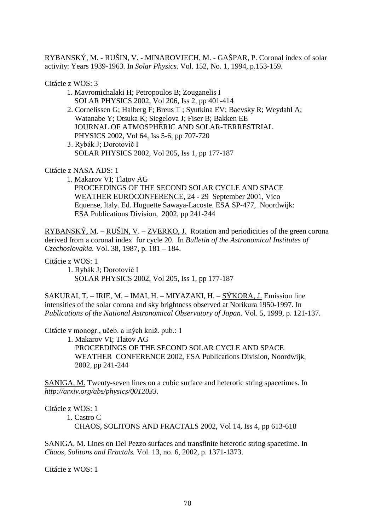RYBANSKÝ, M. - RUŠIN, V. - MINAROVJECH, M. - GAŠPAR, P. Coronal index of solar activity: Years 1939-1963. In *Solar Physics*. Vol. 152, No. 1, 1994, p.153-159.

Citácie z WOS: 3

- 1. Mavromichalaki H; Petropoulos B; Zouganelis I SOLAR PHYSICS 2002, Vol 206, Iss 2, pp 401-414
- 2. Cornelissen G; Halberg F; Breus T ; Syutkina EV; Baevsky R; Weydahl A; Watanabe Y; Otsuka K; Siegelova J; Fiser B; Bakken EE JOURNAL OF ATMOSPHERIC AND SOLAR-TERRESTRIAL PHYSICS 2002, Vol 64, Iss 5-6, pp 707-720
- 3. Rybák J; Dorotovič I SOLAR PHYSICS 2002, Vol 205, Iss 1, pp 177-187

Citácie z NASA ADS: 1

1. Makarov VI; Tlatov AG PROCEEDINGS OF THE SECOND SOLAR CYCLE AND SPACE WEATHER EUROCONFERENCE, 24 - 29 September 2001, Vico Equense, Italy. Ed. Huguette Sawaya-Lacoste. ESA SP-477, Noordwijk: ESA Publications Division, 2002, pp 241-244

RYBANSKÝ, M. – RUŠIN, V. – ZVERKO, J. Rotation and periodicities of the green corona derived from a coronal index for cycle 20. In *Bulletin of the Astronomical Institutes of Czechoslovakia.* Vol. 38, 1987, p. 181 – 184.

Citácie z WOS: 1

1. Rybák J; Dorotovič I SOLAR PHYSICS 2002, Vol 205, Iss 1, pp 177-187

SAKURAI, T. – IRIE, M. – IMAI, H. – MIYAZAKI, H. – SÝKORA, J. Emission line intensities of the solar corona and sky brightness observed at Norikura 1950-1997. In *Publications of the National Astronomical Observatory of Japan.* Vol. 5, 1999, p. 121-137.

Citácie v monogr., učeb. a iných kniž. pub.: 1

 1. Makarov VI; Tlatov AG PROCEEDINGS OF THE SECOND SOLAR CYCLE AND SPACE WEATHER CONFERENCE 2002, ESA Publications Division, Noordwijk, 2002, pp 241-244

SANIGA, M. Twenty-seven lines on a cubic surface and heterotic string spacetimes. In *http://arxiv.org/abs/physics/0012033.*

Citácie z WOS: 1

1. Castro C

CHAOS, SOLITONS AND FRACTALS 2002, Vol 14, Iss 4, pp 613-618

SANIGA, M. Lines on Del Pezzo surfaces and transfinite heterotic string spacetime. In *Chaos, Solitons and Fractals.* Vol. 13, no. 6, 2002, p. 1371-1373.

Citácie z WOS: 1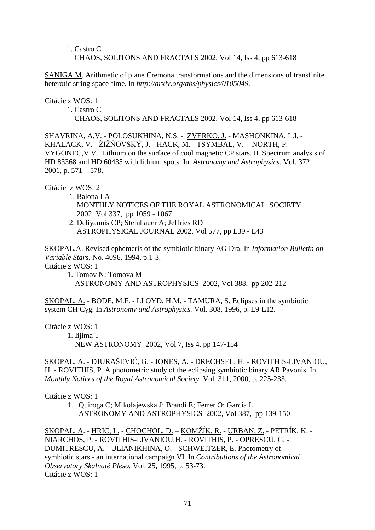1. Castro C CHAOS, SOLITONS AND FRACTALS 2002, Vol 14, Iss 4, pp 613-618

SANIGA,M. Arithmetic of plane Cremona transformations and the dimensions of transfinite heterotic string space-time. In *http://arxiv.org/abs/physics/0105049.*

Citácie z WOS: 1

1. Castro C

CHAOS, SOLITONS AND FRACTALS 2002, Vol 14, Iss 4, pp 613-618

SHAVRINA, A.V. - POLOSUKHINA, N.S. - ZVERKO, J. - MASHONKINA, L.I. - KHALACK, V. - <u>ŽIŽŇOVSKÝ, J.</u> - HACK, M. - TSYMBAL, V. - NORTH, P. -VYGONEC,V.V. Lithium on the surface of cool magnetic CP stars. II. Spectrum analysis of HD 83368 and HD 60435 with lithium spots. In *Astronomy and Astrophysics.* Vol. 372, 2001, p.  $571 - 578$ .

Citácie z WOS: 2

- 1. Balona LA MONTHLY NOTICES OF THE ROYAL ASTRONOMICAL SOCIETY 2002, Vol 337, pp 1059 - 1067
- 2. Deliyannis CP; Steinhauer A; Jeffries RD ASTROPHYSICAL JOURNAL 2002, Vol 577, pp L39 - L43

SKOPAL,A. Revised ephemeris of the symbiotic binary AG Dra. In *Information Bulletin on Variable Stars.* No. 4096, 1994, p.1-3.

Citácie z WOS: 1

 1. Tomov N; Tomova M ASTRONOMY AND ASTROPHYSICS 2002, Vol 388, pp 202-212

SKOPAL, A. - BODE, M.F. - LLOYD, H.M. - TAMURA, S. Eclipses in the symbiotic system CH Cyg. In *Astronomy and Astrophysics.* Vol. 308, 1996, p. L9-L12.

Citácie z WOS: 1

 1. Iijima T NEW ASTRONOMY 2002, Vol 7, Iss 4, pp 147-154

<u>SKOPAL, A</u>. - DJURAŠEVIĆ, G. - JONES, A. - DRECHSEL, H. - ROVITHIS-LIVANIOU, H. - ROVITHIS, P. A photometric study of the eclipsing symbiotic binary AR Pavonis. In *Monthly Notices of the Royal Astronomical Society.* Vol. 311, 2000, p. 225-233.

Citácie z WOS: 1

1. Quiroga C; Mikolajewska J; Brandi E; Ferrer O; Garcia L ASTRONOMY AND ASTROPHYSICS 2002, Vol 387, pp 139-150

<u>SKOPAL, A</u>. - <u>HRIC, L.</u> - <u>CHOCHOL, D.</u> – <u>KOMŽÍK, R.</u> - <u>URBAN, Z.</u> - PETRÍK, K. -NIARCHOS, P. - ROVITHIS-LIVANIOU,H. - ROVITHIS, P. - OPRESCU, G. - DUMITRESCU, A. - ULIANIKHINA, O. - SCHWEITZER, E. Photometry of symbiotic stars - an international campaign VI. In *Contributions of the Astronomical Observatory Skalnaté Pleso.* Vol. 25, 1995, p. 53-73. Citácie z WOS: 1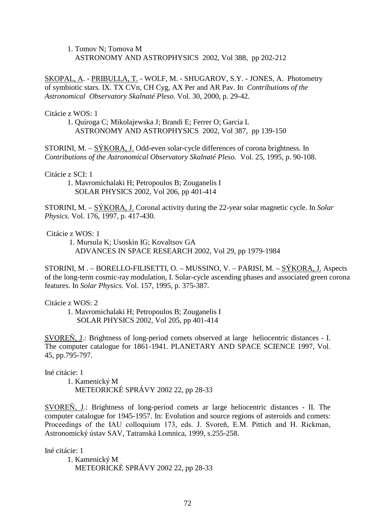1. Tomov N; Tomova M ASTRONOMY AND ASTROPHYSICS 2002, Vol 388, pp 202-212

SKOPAL, A. - PRIBULLA, T. - WOLF, M. - SHUGAROV, S.Y. - JONES, A. Photometry of symbiotic stars. IX. TX CVn, CH Cyg, AX Per and AR Pav. In *Contributions of the Astronomical Observatory Skalnaté Pleso.* Vol. 30, 2000, p. 29-42.

Citácie z WOS: 1

 1. Quiroga C; Mikolajewska J; Brandi E; Ferrer O; Garcia L ASTRONOMY AND ASTROPHYSICS 2002, Vol 387, pp 139-150

STORINI, M. – SÝKORA, J. Odd-even solar-cycle differences of corona brightness. In *Contributions of the Astronomical Observatory Skalnaté Pleso.* Vol. 25, 1995, p. 90-108.

Citácie z SCI: 1

 1. Mavromichalaki H; Petropoulos B; Zouganelis I SOLAR PHYSICS 2002, Vol 206, pp 401-414

STORINI, M. – SÝKORA, J. Coronal activity during the 22-year solar magnetic cycle. In *Solar Physics*. Vol. 176, 1997, p. 417-430.

Citácie z WOS: 1

 1. Mursula K; Usoskin IG; Kovaltsov GA ADVANCES IN SPACE RESEARCH 2002, Vol 29, pp 1979-1984

STORINI, M . – BORELLO-FILISETTI, O. – MUSSINO, V. – PARISI, M. – SÝKORA, J. Aspects of the long-term cosmic-ray modulation, I. Solar-cycle ascending phases and associated green corona features. In *Solar Physics.* Vol. 157, 1995, p. 375-387.

Citácie z WOS: 2

 1. Mavromichalaki H; Petropoulos B; Zouganelis I SOLAR PHYSICS 2002, Vol 205, pp 401-414

SVOREŇ, J.: Brightness of long-period comets observed at large heliocentric distances - I. The computer catalogue for 1861-1941. PLANETARY AND SPACE SCIENCE 1997, Vol. 45, pp.795-797.

Iné citácie: 1

 1. Kamenický M METEORICKÉ SPRÁVY 2002 22, pp 28-33

SVOREŇ, J.: Brightness of long-period comets ar large heliocentric distances - II. The computer catalogue for 1945-1957. In: Evolution and source regions of asteroids and comets: Proceedings of the IAU colloquium 173, eds. J. Svoreň, E.M. Pittich and H. Rickman, Astronomický ústav SAV, Tatranská Lomnica, 1999, s.255-258.

Iné citácie: 1

 1. Kamenický M METEORICKÉ SPRÁVY 2002 22, pp 28-33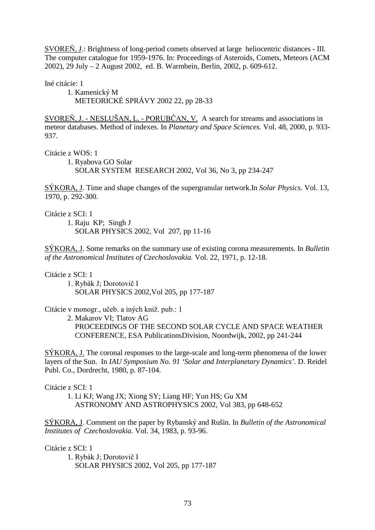SVOREŇ, J.: Brightness of long-period comets observed at large heliocentric distances - III. The computer catalogue for 1959-1976. In: Proceedings of Asteroids, Comets, Meteors (ACM 2002), 29 July – 2 August 2002, ed. B. Warmbein, Berlin, 2002, p. 609-612.

Iné citácie: 1

 1. Kamenický M METEORICKÉ SPRÁVY 2002 22, pp 28-33

SVOREŇ, J. - NESLUŠAN, L. - PORUBČAN, V. A search for streams and associations in meteor databases. Method of indexes. In *Planetary and Space Sciences.* Vol. 48, 2000, p. 933- 937.

Citácie z WOS: 1

 1. Ryabova GO Solar SOLAR SYSTEM RESEARCH 2002, Vol 36, No 3, pp 234-247

SÝKORA, J. Time and shape changes of the supergranular network.In *Solar Physics*. Vol. 13, 1970, p. 292-300.

Citácie z SCI: 1

 1. Raju KP; Singh J SOLAR PHYSICS 2002, Vol 207, pp 11-16

SÝKORA, J. Some remarks on the summary use of existing corona measurements. In *Bulletin of the Astronomical Institutes of Czechoslovakia.* Vol. 22, 1971, p. 12-18.

Citácie z SCI: 1

1. Rybák J; Dorotovič I SOLAR PHYSICS 2002,Vol 205, pp 177-187

Citácie v monogr., učeb. a iných kniž. pub.: 1

2. Makarov VI; Tlatov AG

 PROCEEDINGS OF THE SECOND SOLAR CYCLE AND SPACE WEATHER CONFERENCE, ESA PublicationsDivision, Noordwijk, 2002, pp 241-244

SÝKORA, J. The coronal responses to the large-scale and long-term phenomena of the lower layers of the Sun. In *IAU Symposium No. 91 'Solar and Interplanetary Dynamics'.* D. Reidel Publ. Co., Dordrecht, 1980, p. 87-104.

Citácie z SCI: 1

 1. Li KJ; Wang JX; Xiong SY; Liang HF; Yun HS; Gu XM ASTRONOMY AND ASTROPHYSICS 2002, Vol 383, pp 648-652

SÝKORA, J. Comment on the paper by Rybanský and Rušin. In *Bulletin of the Astronomical Institutes of Czechoslovakia.* Vol. 34, 1983, p. 93-96.

Citácie z SCI: 1

1. Rybák J; Dorotovič I SOLAR PHYSICS 2002, Vol 205, pp 177-187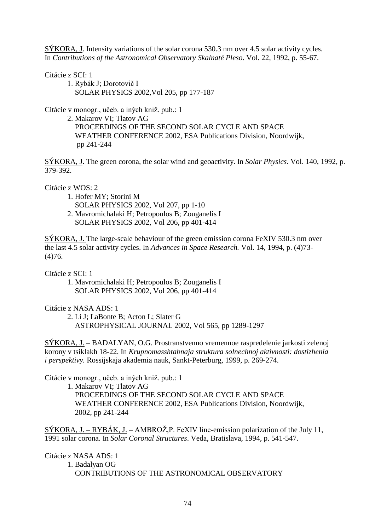SÝKORA, J. Intensity variations of the solar corona 530.3 nm over 4.5 solar activity cycles. In *Contributions of the Astronomical Observatory Skalnaté Pleso*. Vol. 22, 1992, p. 55-67.

Citácie z SCI: 1

1. Rybák J; Dorotovič I SOLAR PHYSICS 2002,Vol 205, pp 177-187

Citácie v monogr., učeb. a iných kniž. pub.: 1

 2. Makarov VI; Tlatov AG PROCEEDINGS OF THE SECOND SOLAR CYCLE AND SPACE WEATHER CONFERENCE 2002, ESA Publications Division, Noordwijk, pp 241-244

SÝKORA, J. The green corona, the solar wind and geoactivity. In *Solar Physics.* Vol. 140, 1992, p. 379-392.

Citácie z WOS: 2

1. Hofer MY; Storini M

SOLAR PHYSICS 2002, Vol 207, pp 1-10

 2. Mavromichalaki H; Petropoulos B; Zouganelis I SOLAR PHYSICS 2002, Vol 206, pp 401-414

SÝKORA, J. The large-scale behaviour of the green emission corona FeXIV 530.3 nm over the last 4.5 solar activity cycles. In *Advances in Space Research.* Vol. 14, 1994, p. (4)73- (4)76.

Citácie z SCI: 1

 1. Mavromichalaki H; Petropoulos B; Zouganelis I SOLAR PHYSICS 2002, Vol 206, pp 401-414

Citácie z NASA ADS: 1

 2. Li J; LaBonte B; Acton L; Slater G ASTROPHYSICAL JOURNAL 2002, Vol 565, pp 1289-1297

SÝKORA, J. – BADALYAN, O.G. Prostranstvenno vremennoe raspredelenie jarkosti zelenoj korony v tsiklakh 18-22. In *Krupnomasshtabnaja struktura solnechnoj aktivnosti: dostizhenia i perspektivy.* Rossijskaja akademia nauk, Sankt-Peterburg, 1999, p. 269-274.

Citácie v monogr., učeb. a iných kniž. pub.: 1

 1. Makarov VI; Tlatov AG PROCEEDINGS OF THE SECOND SOLAR CYCLE AND SPACE WEATHER CONFERENCE 2002, ESA Publications Division, Noordwijk, 2002, pp 241-244

 $SÝKORA, J. - RYBÁK, J. - AMBROŽ, P. FeXIV line-emission polarization of the July 11,$ 1991 solar corona. In *Solar Coronal Structures*. Veda, Bratislava, 1994, p. 541-547.

Citácie z NASA ADS: 1

 1. Badalyan OG CONTRIBUTIONS OF THE ASTRONOMICAL OBSERVATORY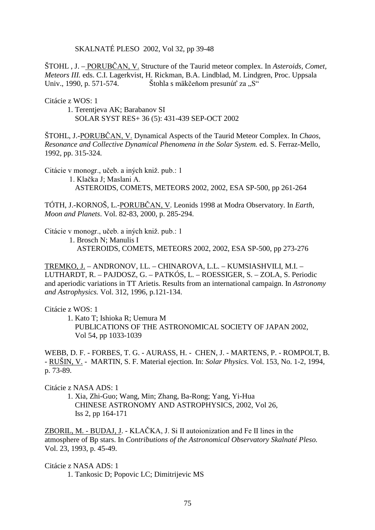SKALNATÉ PLESO 2002, Vol 32, pp 39-48

STOHL, J. – PORUBCAN, V. Structure of the Taurid meteor complex. In *Asteroids, Comet, Meteors III.* eds. C.I. Lagerkvist, H. Rickman, B.A. Lindblad, M. Lindgren, Proc. Uppsala Univ., 1990, p. 571-574. Štohla s mäkčeňom presunúť za "S"

Citácie z WOS: 1

 1. Terentjeva AK; Barabanov SI SOLAR SYST RES+ 36 (5): 431-439 SEP-OCT 2002

ŠTOHL, J.-<u>PORUBČAN, V.</u> Dynamical Aspects of the Taurid Meteor Complex. In *Chaos*, *Resonance and Collective Dynamical Phenomena in the Solar System.* ed. S. Ferraz-Mello, 1992, pp. 315-324.

Citácie v monogr., učeb. a iných kniž. pub.: 1

1. Klačka J; Maslani A. ASTEROIDS, COMETS, METEORS 2002, 2002, ESA SP-500, pp 261-264

TÓTH, J.-KORNOŠ, L.-<u>PORUBČAN, V</u>. Leonids 1998 at Modra Observatory. In *Earth*, *Moon and Planets*. Vol. 82-83, 2000, p. 285-294.

Citácie v monogr., učeb. a iných kniž. pub.: 1

1. Brosch N; Manulis I

ASTEROIDS, COMETS, METEORS 2002, 2002, ESA SP-500, pp 273-276

TREMKO, J. – ANDRONOV, I.L. – CHINAROVA, L.L. – KUMSIASHVILI, M.I. – LUTHARDT, R. – PAJDOSZ, G. – PATKÓS, L. – ROESSIGER, S. – ZOLA, S. Periodic and aperiodic variations in TT Arietis. Results from an international campaign. In *Astronomy and Astrophysics.* Vol. 312, 1996, p.121-134.

Citácie z WOS: 1

 1. Kato T; Ishioka R; Uemura M PUBLICATIONS OF THE ASTRONOMICAL SOCIETY OF JAPAN 2002,

Vol 54, pp 1033-1039

WEBB, D. F. - FORBES, T. G. - AURASS, H. - CHEN, J. - MARTENS, P. - ROMPOLT, B. - RUŠIN, V. - MARTIN, S. F. Material ejection. In: *Solar Physics*. Vol. 153, No. 1-2, 1994, p. 73-89.

Citácie z NASA ADS: 1

1. Xia, Zhi-Guo; Wang, Min; Zhang, Ba-Rong; Yang, Yi-Hua CHINESE ASTRONOMY AND ASTROPHYSICS, 2002, Vol 26, Iss 2, pp 164-171

ZBORIL, M. - BUDAJ, J. - KLAČKA, J. Si II autoionization and Fe II lines in the atmosphere of Bp stars. In *Contributions of the Astronomical Observatory Skalnaté Pleso.* Vol. 23, 1993, p. 45-49.

Citácie z NASA ADS: 1 1. Tankosic D; Popovic LC; Dimitrijevic MS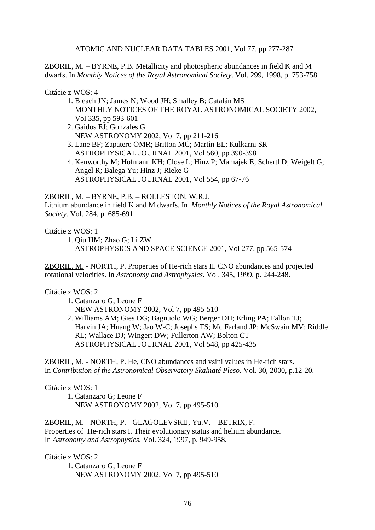ATOMIC AND NUCLEAR DATA TABLES 2001, Vol 77, pp 277-287

ZBORIL, M. – BYRNE, P.B. Metallicity and photospheric abundances in field K and M dwarfs. In *Monthly Notices of the Royal Astronomical Society*. Vol. 299, 1998, p. 753-758.

### Citácie z WOS: 4

- 1. Bleach JN; James N; Wood JH; Smalley B; Catalán MS MONTHLY NOTICES OF THE ROYAL ASTRONOMICAL SOCIETY 2002, Vol 335, pp 593-601
- 2. Gaidos EJ; Gonzales G NEW ASTRONOMY 2002, Vol 7, pp 211-216
- 3. Lane BF; Zapatero OMR; Britton MC; Martín EL; Kulkarni SR ASTROPHYSICAL JOURNAL 2001, Vol 560, pp 390-398
- 4. Kenworthy M; Hofmann KH; Close L; Hinz P; Mamajek E; Schertl D; Weigelt G; Angel R; Balega Yu; Hinz J; Rieke G ASTROPHYSICAL JOURNAL 2001, Vol 554, pp 67-76

## ZBORIL, M. – BYRNE, P.B. – ROLLESTON, W.R.J.

Lithium abundance in field K and M dwarfs. In *Monthly Notices of the Royal Astronomical Society.* Vol. 284, p. 685-691.

Citácie z WOS: 1

 1. Qiu HM; Zhao G; Li ZW ASTROPHYSICS AND SPACE SCIENCE 2001, Vol 277, pp 565-574

ZBORIL, M. - NORTH, P. Properties of He-rich stars II. CNO abundances and projected rotational velocities. In *Astronomy and Astrophysics.* Vol. 345, 1999, p. 244-248.

## Citácie z WOS: 2

- 1. Catanzaro G; Leone F NEW ASTRONOMY 2002, Vol 7, pp 495-510
- 2. Williams AM; Gies DG; Bagnuolo WG; Berger DH; Erling PA; Fallon TJ; Harvin JA; Huang W; Jao W-C; Josephs TS; Mc Farland JP; McSwain MV; Riddle RL; Wallace DJ; Wingert DW; Fullerton AW; Bolton CT ASTROPHYSICAL JOURNAL 2001, Vol 548, pp 425-435

ZBORIL, M. - NORTH, P. He, CNO abundances and vsini values in He-rich stars. In *Contribution of the Astronomical Observatory Skalnaté Pleso.* Vol. 30, 2000, p.12-20.

## Citácie z WOS: 1

 1. Catanzaro G; Leone F NEW ASTRONOMY 2002, Vol 7, pp 495-510

ZBORIL, M. - NORTH, P. - GLAGOLEVSKIJ, Yu.V. – BETRIX, F. Properties of He-rich stars I. Their evolutionary status and helium abundance. In *Astronomy and Astrophysics.* Vol. 324, 1997, p. 949-958.

Citácie z WOS: 2

 1. Catanzaro G; Leone F NEW ASTRONOMY 2002, Vol 7, pp 495-510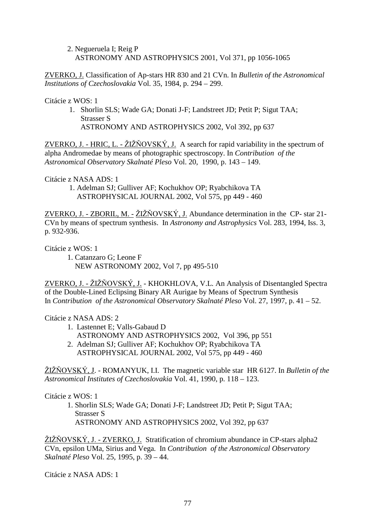2. Negueruela I; Reig P ASTRONOMY AND ASTROPHYSICS 2001, Vol 371, pp 1056-1065

ZVERKO, J. Classification of Ap-stars HR 830 and 21 CVn. In *Bulletin of the Astronomical Institutions of Czechoslovakia* Vol. 35, 1984, p. 294 – 299.

Citácie z WOS: 1

1. Shorlin SLS; Wade GA; Donati J-F; Landstreet JD; Petit P; Sigut TAA; Strasser S ASTRONOMY AND ASTROPHYSICS 2002, Vol 392, pp 637

ZVERKO, J. - HRIC, L. - ŽIŽŇOVSKÝ, J. A search for rapid variability in the spectrum of alpha Andromedae by means of photographic spectroscopy. In *Contribution of the Astronomical Observatory Skalnaté Pleso* Vol. 20, 1990, p. 143 – 149.

Citácie z NASA ADS: 1

 1. Adelman SJ; Gulliver AF; Kochukhov OP; Ryabchikova TA ASTROPHYSICAL JOURNAL 2002, Vol 575, pp 449 - 460

ZVERKO, J. - ZBORIL, M. - ŽIŽŇOVSKÝ, J. Abundance determination in the CP- star 21-CVn by means of spectrum synthesis. In *Astronomy and Astrophysics* Vol. 283, 1994, Iss. 3, p. 932-936.

Citácie z WOS: 1

 1. Catanzaro G; Leone F NEW ASTRONOMY 2002, Vol 7, pp 495-510

ZVERKO, J. - ŽIŽŇOVSKÝ, J. - KHOKHLOVA, V.L. An Analysis of Disentangled Spectra of the Double-Lined Eclipsing Binary AR Aurigae by Means of Spectrum Synthesis In *Contribution of the Astronomical Observatory Skalnaté Pleso* Vol. 27, 1997, p. 41 – 52.

Citácie z NASA ADS: 2

- 1. Lastennet E; Valls-Gabaud D ASTRONOMY AND ASTROPHYSICS 2002, Vol 396, pp 551
- 2. Adelman SJ; Gulliver AF; Kochukhov OP; Ryabchikova TA ASTROPHYSICAL JOURNAL 2002, Vol 575, pp 449 - 460

ŽIŽŇOVSKÝ, J. - ROMANYUK, I.I. The magnetic variable star HR 6127. In *Bulletin of the Astronomical Institutes of Czechoslovakia* Vol. 41, 1990, p. 118 – 123.

Citácie z WOS: 1

 1. Shorlin SLS; Wade GA; Donati J-F; Landstreet JD; Petit P; Sigut TAA; Strasser S ASTRONOMY AND ASTROPHYSICS 2002, Vol 392, pp 637

ŽIŽŇOVSKÝ, J. - ZVERKO, J. Stratification of chromium abundance in CP-stars alpha2 CVn, epsilon UMa, Sirius and Vega. In *Contribution of the Astronomical Observatory Skalnaté Pleso* Vol. 25, 1995, p. 39 – 44.

Citácie z NASA ADS: 1